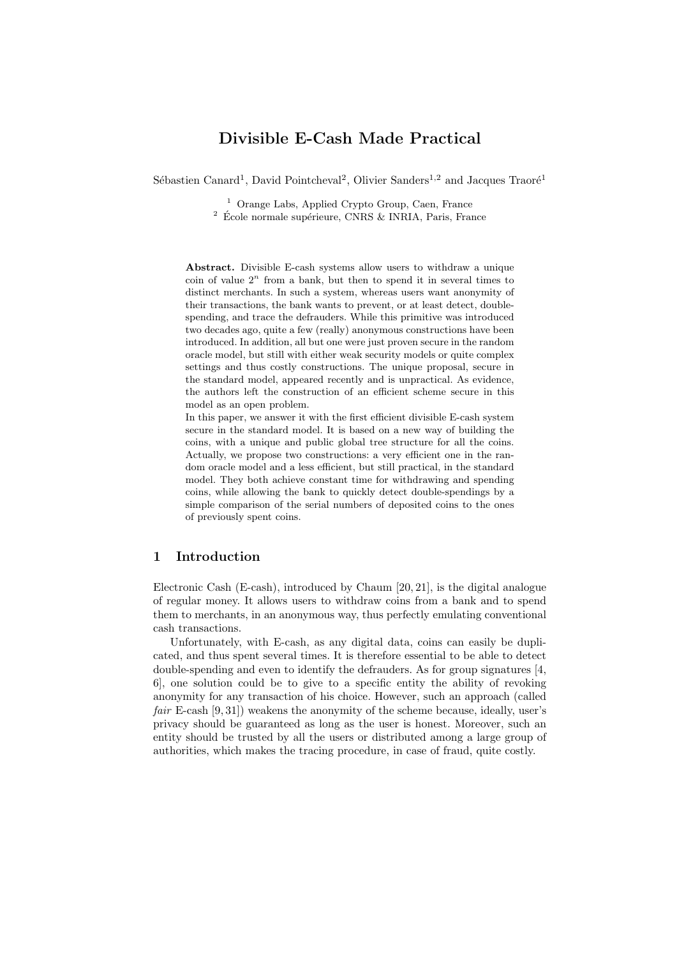# Divisible E-Cash Made Practical

Sébastien Canard<sup>1</sup>, David Pointcheval<sup>2</sup>, Olivier Sanders<sup>1,2</sup> and Jacques Traoré<sup>1</sup>

<sup>1</sup> Orange Labs, Applied Crypto Group, Caen, France  $2$  École normale supérieure, CNRS & INRIA, Paris, France

Abstract. Divisible E-cash systems allow users to withdraw a unique coin of value  $2<sup>n</sup>$  from a bank, but then to spend it in several times to distinct merchants. In such a system, whereas users want anonymity of their transactions, the bank wants to prevent, or at least detect, doublespending, and trace the defrauders. While this primitive was introduced two decades ago, quite a few (really) anonymous constructions have been introduced. In addition, all but one were just proven secure in the random oracle model, but still with either weak security models or quite complex settings and thus costly constructions. The unique proposal, secure in the standard model, appeared recently and is unpractical. As evidence,

In this paper, we answer it with the first efficient divisible E-cash system secure in the standard model. It is based on a new way of building the coins, with a unique and public global tree structure for all the coins. Actually, we propose two constructions: a very efficient one in the random oracle model and a less efficient, but still practical, in the standard model. They both achieve constant time for withdrawing and spending coins, while allowing the bank to quickly detect double-spendings by a simple comparison of the serial numbers of deposited coins to the ones of previously spent coins.

the authors left the construction of an efficient scheme secure in this

# 1 Introduction

model as an open problem.

Electronic Cash (E-cash), introduced by Chaum [20, 21], is the digital analogue of regular money. It allows users to withdraw coins from a bank and to spend them to merchants, in an anonymous way, thus perfectly emulating conventional cash transactions.

Unfortunately, with E-cash, as any digital data, coins can easily be duplicated, and thus spent several times. It is therefore essential to be able to detect double-spending and even to identify the defrauders. As for group signatures [4, 6], one solution could be to give to a specific entity the ability of revoking anonymity for any transaction of his choice. However, such an approach (called fair E-cash [9, 31]) weakens the anonymity of the scheme because, ideally, user's privacy should be guaranteed as long as the user is honest. Moreover, such an entity should be trusted by all the users or distributed among a large group of authorities, which makes the tracing procedure, in case of fraud, quite costly.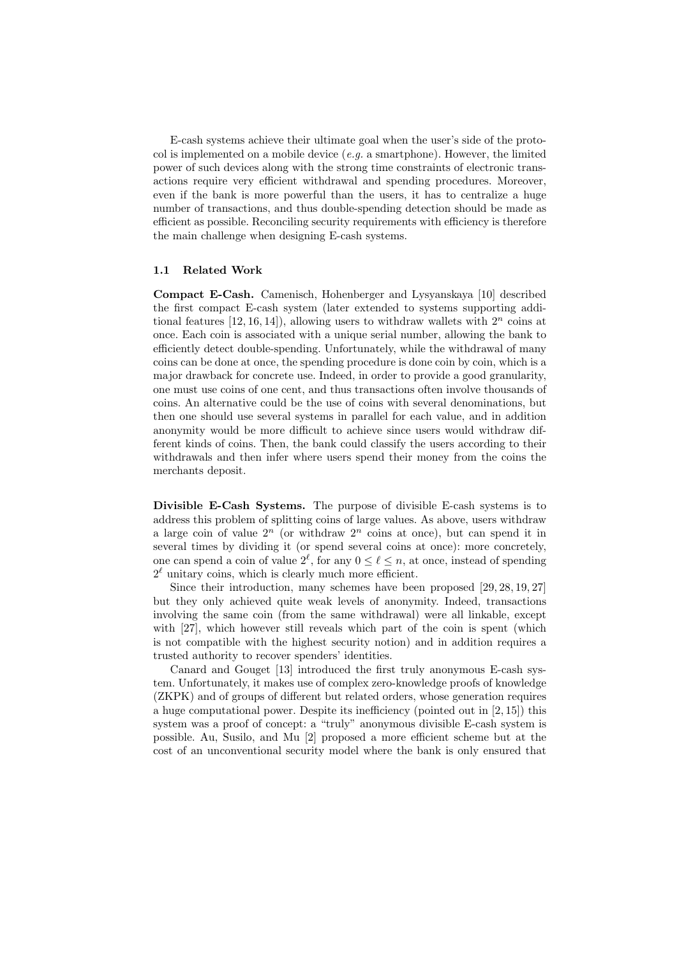E-cash systems achieve their ultimate goal when the user's side of the protocol is implemented on a mobile device  $(e.g., a \text{ smartphone})$ . However, the limited power of such devices along with the strong time constraints of electronic transactions require very efficient withdrawal and spending procedures. Moreover, even if the bank is more powerful than the users, it has to centralize a huge number of transactions, and thus double-spending detection should be made as efficient as possible. Reconciling security requirements with efficiency is therefore the main challenge when designing E-cash systems.

### 1.1 Related Work

Compact E-Cash. Camenisch, Hohenberger and Lysyanskaya [10] described the first compact E-cash system (later extended to systems supporting additional features [12, 16, 14]), allowing users to withdraw wallets with  $2^n$  coins at once. Each coin is associated with a unique serial number, allowing the bank to efficiently detect double-spending. Unfortunately, while the withdrawal of many coins can be done at once, the spending procedure is done coin by coin, which is a major drawback for concrete use. Indeed, in order to provide a good granularity, one must use coins of one cent, and thus transactions often involve thousands of coins. An alternative could be the use of coins with several denominations, but then one should use several systems in parallel for each value, and in addition anonymity would be more difficult to achieve since users would withdraw different kinds of coins. Then, the bank could classify the users according to their withdrawals and then infer where users spend their money from the coins the merchants deposit.

Divisible E-Cash Systems. The purpose of divisible E-cash systems is to address this problem of splitting coins of large values. As above, users withdraw a large coin of value  $2^n$  (or withdraw  $2^n$  coins at once), but can spend it in several times by dividing it (or spend several coins at once): more concretely, one can spend a coin of value  $2^{\ell}$ , for any  $0 \leq \ell \leq n$ , at once, instead of spending  $2^{\ell}$  unitary coins, which is clearly much more efficient.

Since their introduction, many schemes have been proposed [29, 28, 19, 27] but they only achieved quite weak levels of anonymity. Indeed, transactions involving the same coin (from the same withdrawal) were all linkable, except with [27], which however still reveals which part of the coin is spent (which is not compatible with the highest security notion) and in addition requires a trusted authority to recover spenders' identities.

Canard and Gouget [13] introduced the first truly anonymous E-cash system. Unfortunately, it makes use of complex zero-knowledge proofs of knowledge (ZKPK) and of groups of different but related orders, whose generation requires a huge computational power. Despite its inefficiency (pointed out in  $[2, 15]$ ) this system was a proof of concept: a "truly" anonymous divisible E-cash system is possible. Au, Susilo, and Mu [2] proposed a more efficient scheme but at the cost of an unconventional security model where the bank is only ensured that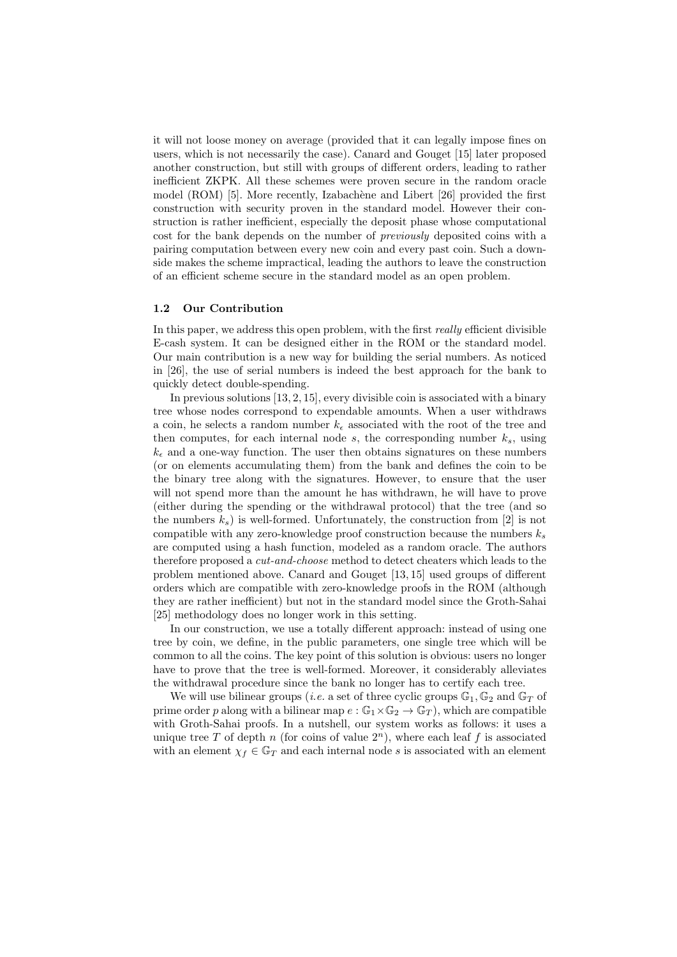it will not loose money on average (provided that it can legally impose fines on users, which is not necessarily the case). Canard and Gouget [15] later proposed another construction, but still with groups of different orders, leading to rather inefficient ZKPK. All these schemes were proven secure in the random oracle model (ROM) [5]. More recently, Izabachène and Libert [26] provided the first construction with security proven in the standard model. However their construction is rather inefficient, especially the deposit phase whose computational cost for the bank depends on the number of *previously* deposited coins with a pairing computation between every new coin and every past coin. Such a downside makes the scheme impractical, leading the authors to leave the construction of an efficient scheme secure in the standard model as an open problem.

#### 1.2 Our Contribution

In this paper, we address this open problem, with the first *really* efficient divisible E-cash system. It can be designed either in the ROM or the standard model. Our main contribution is a new way for building the serial numbers. As noticed in [26], the use of serial numbers is indeed the best approach for the bank to quickly detect double-spending.

In previous solutions [13, 2, 15], every divisible coin is associated with a binary tree whose nodes correspond to expendable amounts. When a user withdraws a coin, he selects a random number  $k_{\epsilon}$  associated with the root of the tree and then computes, for each internal node  $s$ , the corresponding number  $k_s$ , using  $k_{\epsilon}$  and a one-way function. The user then obtains signatures on these numbers (or on elements accumulating them) from the bank and defines the coin to be the binary tree along with the signatures. However, to ensure that the user will not spend more than the amount he has withdrawn, he will have to prove (either during the spending or the withdrawal protocol) that the tree (and so the numbers  $k<sub>s</sub>$ ) is well-formed. Unfortunately, the construction from [2] is not compatible with any zero-knowledge proof construction because the numbers  $k_s$ are computed using a hash function, modeled as a random oracle. The authors therefore proposed a cut-and-choose method to detect cheaters which leads to the problem mentioned above. Canard and Gouget [13, 15] used groups of different orders which are compatible with zero-knowledge proofs in the ROM (although they are rather inefficient) but not in the standard model since the Groth-Sahai [25] methodology does no longer work in this setting.

In our construction, we use a totally different approach: instead of using one tree by coin, we define, in the public parameters, one single tree which will be common to all the coins. The key point of this solution is obvious: users no longer have to prove that the tree is well-formed. Moreover, it considerably alleviates the withdrawal procedure since the bank no longer has to certify each tree.

We will use bilinear groups (*i.e.* a set of three cyclic groups  $\mathbb{G}_1$ ,  $\mathbb{G}_2$  and  $\mathbb{G}_T$  of prime order p along with a bilinear map  $e : \mathbb{G}_1 \times \mathbb{G}_2 \to \mathbb{G}_T$ , which are compatible with Groth-Sahai proofs. In a nutshell, our system works as follows: it uses a unique tree T of depth n (for coins of value  $2<sup>n</sup>$ ), where each leaf f is associated with an element  $\chi_f \in \mathbb{G}_T$  and each internal node s is associated with an element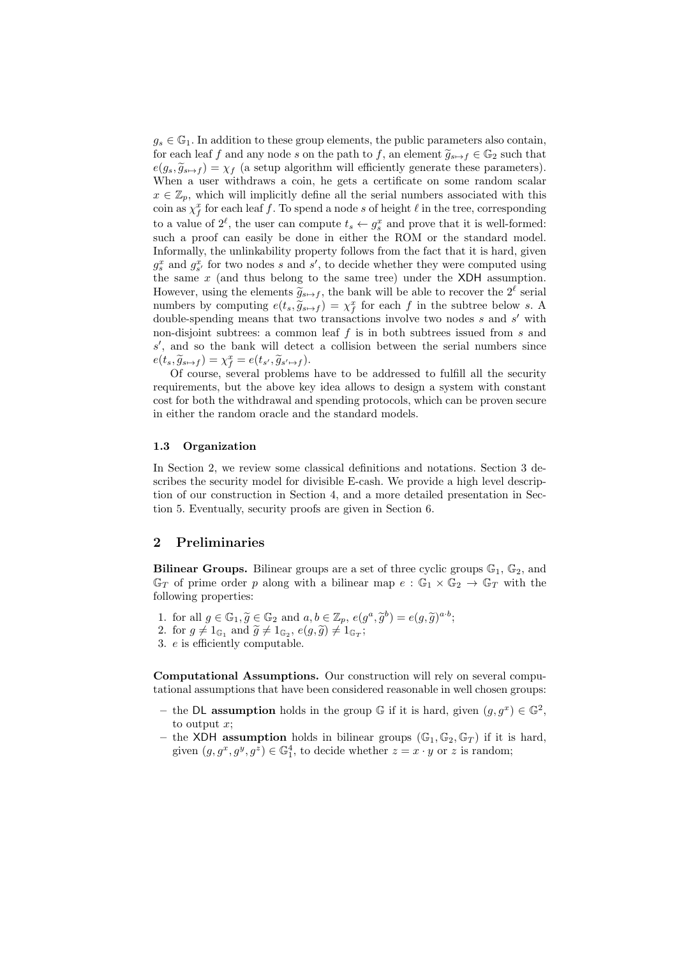$g_s \in \mathbb{G}_1$ . In addition to these group elements, the public parameters also contain, for each leaf f and any node s on the path to f, an element  $\tilde{g}_{s\mapsto f} \in \mathbb{G}_2$  such that  $e(g_s, \tilde{g}_{s\mapsto f}) = \chi_f$  (a setup algorithm will efficiently generate these parameters). When a user withdraws a coin, he gets a certificate on some random scalar  $x \in \mathbb{Z}_p$ , which will implicitly define all the serial numbers associated with this coin as  $\chi_f^x$  for each leaf f. To spend a node s of height  $\ell$  in the tree, corresponding to a value of  $2^{\ell}$ , the user can compute  $t_s \leftarrow g_s^x$  and prove that it is well-formed: such a proof can easily be done in either the ROM or the standard model. Informally, the unlinkability property follows from the fact that it is hard, given  $g_s^x$  and  $g_{s'}^x$  for two nodes s and s', to decide whether they were computed using the same  $x$  (and thus belong to the same tree) under the  $XDH$  assumption. However, using the elements  $\widetilde{g}_{s \mapsto f}$ , the bank will be able to recover the  $2^{\ell}$  serial numbers by computing  $e(t, \widetilde{\lambda}_{s}) = 2^{\ell}$  for each f in the subtree below  $e, \Lambda$ numbers by computing  $e(t_s, \tilde{g}_{s \mapsto f}) = \chi^x_f$  for each f in the subtree below s. A double-spending means that two transactions involve two nodes  $s$  and  $s'$  with non-disjoint subtrees: a common leaf  $f$  is in both subtrees issued from  $s$  and s', and so the bank will detect a collision between the serial numbers since  $e(t_s, \widetilde{g}_{s \mapsto f}) = \chi_f^x = e(t_{s'}, \widetilde{g}_{s' \mapsto f}).$ <br>Of course soveral problems

Of course, several problems have to be addressed to fulfill all the security requirements, but the above key idea allows to design a system with constant cost for both the withdrawal and spending protocols, which can be proven secure in either the random oracle and the standard models.

### 1.3 Organization

In Section 2, we review some classical definitions and notations. Section 3 describes the security model for divisible E-cash. We provide a high level description of our construction in Section 4, and a more detailed presentation in Section 5. Eventually, security proofs are given in Section 6.

# 2 Preliminaries

Bilinear Groups. Bilinear groups are a set of three cyclic groups  $\mathbb{G}_1$ ,  $\mathbb{G}_2$ , and  $\mathbb{G}_T$  of prime order p along with a bilinear map  $e : \mathbb{G}_1 \times \mathbb{G}_2 \to \mathbb{G}_T$  with the following properties:

- 1. for all  $g \in \mathbb{G}_1$ ,  $\widetilde{g} \in \mathbb{G}_2$  and  $a, b \in \mathbb{Z}_p$ ,  $e(g^a, \widetilde{g}^b) = e(g, \widetilde{g})^{a \cdot b}$ ;<br>2. for  $a \neq 1$ g, and  $\widetilde{a} \neq 1$ g,  $e(g, \widetilde{a}) \neq 1$ g.
- 2. for  $g \neq 1_{\mathbb{G}_1}$  and  $\widetilde{g} \neq 1_{\mathbb{G}_2}$ ,  $e(g, \widetilde{g}) \neq 1_{\mathbb{G}_T}$ ;<br>3. e is efficiently computable
- 3. e is efficiently computable.

Computational Assumptions. Our construction will rely on several computational assumptions that have been considered reasonable in well chosen groups:

- the DL assumption holds in the group  $\mathbb G$  if it is hard, given  $(g, g^x) \in \mathbb G^2$ , to output  $x$ ;
- the XDH assumption holds in bilinear groups  $(\mathbb{G}_1, \mathbb{G}_2, \mathbb{G}_T)$  if it is hard, given  $(g, g^x, g^y, g^z) \in \mathbb{G}_1^4$ , to decide whether  $z = x \cdot y$  or z is random;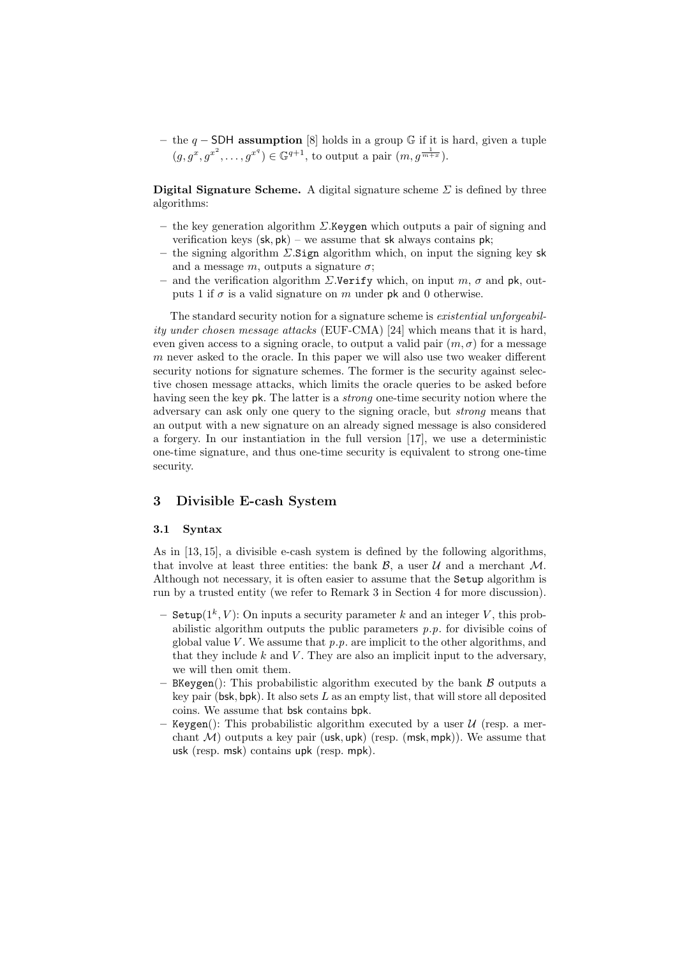– the  $q$  – SDH assumption [8] holds in a group  $\mathbb G$  if it is hard, given a tuple  $(g, g^x, g^{x^2}, \ldots, g^{x^q}) \in \mathbb{G}^{q+1}$ , to output a pair  $(m, g^{\frac{1}{m+x}})$ .

**Digital Signature Scheme.** A digital signature scheme  $\Sigma$  is defined by three algorithms:

- the key generation algorithm  $\Sigma$ . Keygen which outputs a pair of signing and verification keys  $(\mathsf{sk}, \mathsf{pk})$  – we assume that sk always contains  $\mathsf{pk}$ ;
- the signing algorithm  $\Sigma$ . Sign algorithm which, on input the signing key sk and a message m, outputs a signature  $\sigma$ ;
- and the verification algorithm  $\Sigma$ . Verify which, on input  $m, \sigma$  and pk, outputs 1 if  $\sigma$  is a valid signature on m under pk and 0 otherwise.

The standard security notion for a signature scheme is existential unforgeability under chosen message attacks (EUF-CMA) [24] which means that it is hard, even given access to a signing oracle, to output a valid pair  $(m, \sigma)$  for a message  $m$  never asked to the oracle. In this paper we will also use two weaker different security notions for signature schemes. The former is the security against selective chosen message attacks, which limits the oracle queries to be asked before having seen the key pk. The latter is a *strong* one-time security notion where the adversary can ask only one query to the signing oracle, but strong means that an output with a new signature on an already signed message is also considered a forgery. In our instantiation in the full version [17], we use a deterministic one-time signature, and thus one-time security is equivalent to strong one-time security.

### 3 Divisible E-cash System

### 3.1 Syntax

As in [13, 15], a divisible e-cash system is defined by the following algorithms, that involve at least three entities: the bank  $\mathcal{B}$ , a user  $\mathcal{U}$  and a merchant  $\mathcal{M}$ . Although not necessary, it is often easier to assume that the Setup algorithm is run by a trusted entity (we refer to Remark 3 in Section 4 for more discussion).

- Setup $(1^k, V)$ : On inputs a security parameter k and an integer V, this probabilistic algorithm outputs the public parameters  $p.p$ , for divisible coins of global value  $V$ . We assume that  $p.p.$  are implicit to the other algorithms, and that they include  $k$  and  $V$ . They are also an implicit input to the adversary, we will then omit them.
- BKeygen(): This probabilistic algorithm executed by the bank  $\beta$  outputs a key pair (bsk, bpk). It also sets  $L$  as an empty list, that will store all deposited coins. We assume that bsk contains bpk.
- Keygen(): This probabilistic algorithm executed by a user  $\mathcal{U}$  (resp. a merchant  $M$ ) outputs a key pair (usk, upk) (resp. (msk, mpk)). We assume that usk (resp. msk) contains upk (resp. mpk).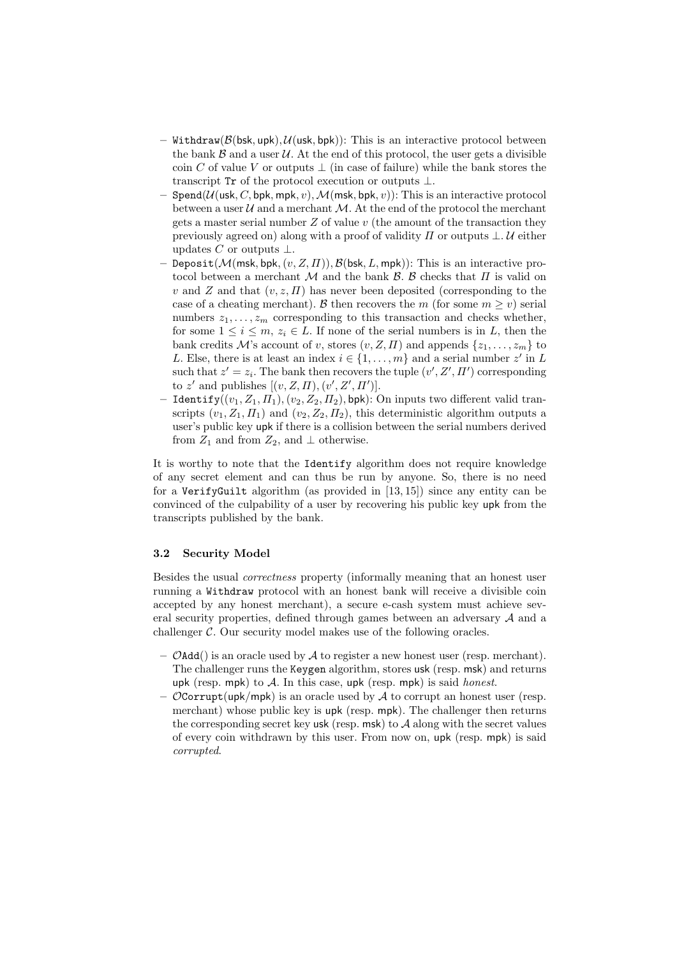- Withdraw( $\mathcal{B}(\mathsf{bsk}, \mathsf{upk}), \mathcal{U}(\mathsf{usk}, \mathsf{bpk})$ ): This is an interactive protocol between the bank  $\beta$  and a user  $\mathcal{U}$ . At the end of this protocol, the user gets a divisible coin C of value V or outputs  $\perp$  (in case of failure) while the bank stores the transcript Tr of the protocol execution or outputs  $\perp$ .
- Spend( $\mathcal{U}$ (usk, C, bpk, mpk, v),  $\mathcal{M}$ (msk, bpk, v)): This is an interactive protocol between a user  $U$  and a merchant  $M$ . At the end of the protocol the merchant gets a master serial number  $Z$  of value  $v$  (the amount of the transaction they previously agreed on) along with a proof of validity  $\Pi$  or outputs  $\bot$ . U either updates C or outputs  $\perp$ .
- Deposit( $\mathcal{M}$ (msk, bpk,  $(v, Z, \Pi)$ ),  $\mathcal{B}$ (bsk, L, mpk)): This is an interactive protocol between a merchant M and the bank  $\beta$ . B checks that  $\Pi$  is valid on v and Z and that  $(v, z, \Pi)$  has never been deposited (corresponding to the case of a cheating merchant). B then recovers the m (for some  $m \ge v$ ) serial numbers  $z_1, \ldots, z_m$  corresponding to this transaction and checks whether, for some  $1 \leq i \leq m$ ,  $z_i \in L$ . If none of the serial numbers is in L, then the bank credits M's account of v, stores  $(v, Z, \Pi)$  and appends  $\{z_1, \ldots, z_m\}$  to L. Else, there is at least an index  $i \in \{1, \ldots, m\}$  and a serial number z' in L such that  $z' = z_i$ . The bank then recovers the tuple  $(v', Z', \Pi')$  corresponding to z' and publishes  $[(v, Z, \Pi), (v', Z', \Pi')]$ .
- Identify $((v_1, Z_1, \Pi_1), (v_2, Z_2, \Pi_2),$  bpk): On inputs two different valid transcripts  $(v_1, Z_1, \Pi_1)$  and  $(v_2, Z_2, \Pi_2)$ , this deterministic algorithm outputs a user's public key upk if there is a collision between the serial numbers derived from  $Z_1$  and from  $Z_2$ , and  $\perp$  otherwise.

It is worthy to note that the Identify algorithm does not require knowledge of any secret element and can thus be run by anyone. So, there is no need for a VerifyGuilt algorithm (as provided in [13, 15]) since any entity can be convinced of the culpability of a user by recovering his public key upk from the transcripts published by the bank.

### 3.2 Security Model

Besides the usual correctness property (informally meaning that an honest user running a Withdraw protocol with an honest bank will receive a divisible coin accepted by any honest merchant), a secure e-cash system must achieve several security properties, defined through games between an adversary  $A$  and a challenger  $\mathcal{C}$ . Our security model makes use of the following oracles.

- $-$  OAdd() is an oracle used by  $A$  to register a new honest user (resp. merchant). The challenger runs the Keygen algorithm, stores usk (resp. msk) and returns upk (resp. mpk) to  $A$ . In this case, upk (resp. mpk) is said *honest*.
- Ocorrupt(upk/mpk) is an oracle used by  $A$  to corrupt an honest user (resp. merchant) whose public key is upk (resp. mpk). The challenger then returns the corresponding secret key usk (resp.  $msk$ ) to  $A$  along with the secret values of every coin withdrawn by this user. From now on, upk (resp. mpk) is said corrupted.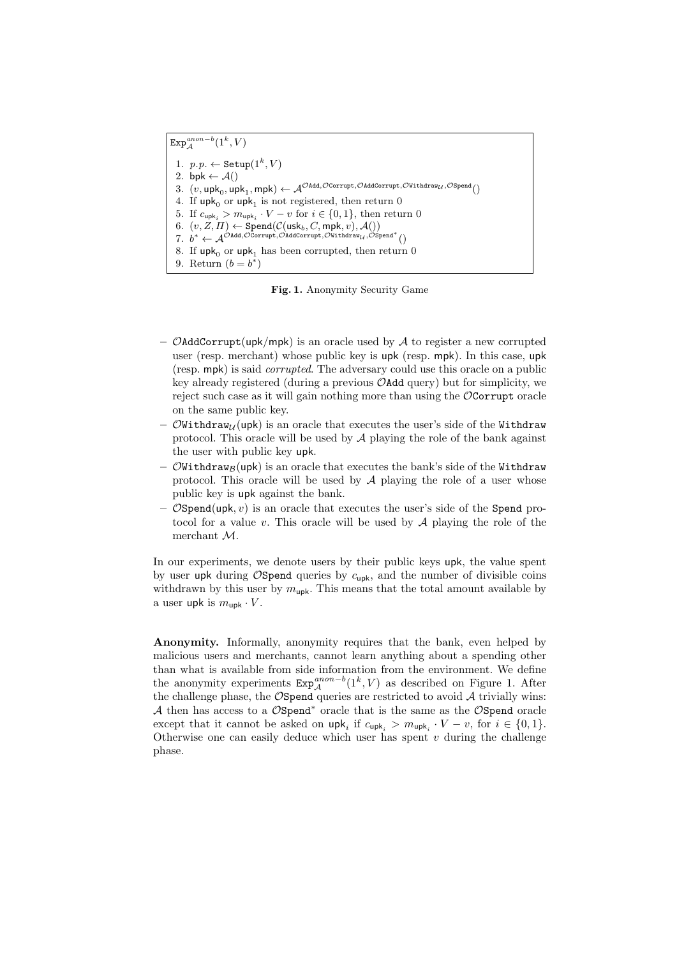$\mathtt{Exp}^{anon-b}_\mathcal{A}(1^k,V)$ 1.  $p.p. \leftarrow \texttt{Setup}(1^k, V)$ 2. bpk  $\leftarrow \mathcal{A}()$  $3. \ \ (v, \mathsf{upk}_0, \mathsf{upk}_1, \mathsf{mpk}) \gets \mathcal{A}^{\mathcal{O}\mathtt{Add}, \mathcal{O}\mathtt{Corrupt}, \mathcal{O}\mathtt{AddCorrupt}, \mathcal{O}\mathtt{Without}_\mathcal{U}, \mathcal{O}\mathtt{Spend}}()$ 4. If  $upk_0$  or  $upk_1$  is not registered, then return 0 5. If  $c_{\mathsf{upk}_i} > m_{\mathsf{upk}_i} \cdot V - v$  for  $i \in \{0, 1\}$ , then return 0 6.  $(v, Z, \Pi) \leftarrow \texttt{Spend}(\mathcal{C}(\textsf{usk}_b, C, \textsf{mpk}, v), \mathcal{A}())$  $7. \ \ b^* \leftarrow \mathcal{A}^{\mathcal{O}\text{Add},\mathcal{O}\text{Corrupt},\mathcal{O}\text{AddCorrupt},\mathcal{O}\text{Withdraw}_\mathcal{U},\mathcal{O}\text{Spend}^*\ \text{(1)}$ 8. If upk<sub>0</sub> or upk<sub>1</sub> has been corrupted, then return 0 9. Return  $(b = b^*)$ 

Fig. 1. Anonymity Security Game

- $\mathcal{O}\text{AddCorrupt}(\text{upk}/\text{mpk})$  is an oracle used by  $\mathcal A$  to register a new corrupted user (resp. merchant) whose public key is upk (resp. mpk). In this case, upk (resp. mpk) is said corrupted. The adversary could use this oracle on a public key already registered (during a previous  $\mathcal{O}$ Add query) but for simplicity, we reject such case as it will gain nothing more than using the OCorrupt oracle on the same public key.
- OWithdraw<sub>U</sub> (upk) is an oracle that executes the user's side of the Withdraw protocol. This oracle will be used by  $A$  playing the role of the bank against the user with public key upk.
- OWithdraw<sub>B</sub>(upk) is an oracle that executes the bank's side of the Withdraw protocol. This oracle will be used by  $A$  playing the role of a user whose public key is upk against the bank.
- $\mathcal{O}$ Spend(upk, v) is an oracle that executes the user's side of the Spend protocol for a value v. This oracle will be used by  $A$  playing the role of the merchant M.

In our experiments, we denote users by their public keys upk, the value spent by user upk during  $\mathcal{O}$ Spend queries by  $c_{upk}$ , and the number of divisible coins withdrawn by this user by  $m_{\text{upk}}$ . This means that the total amount available by a user upk is  $m_{\text{upk}} \cdot V$ .

Anonymity. Informally, anonymity requires that the bank, even helped by malicious users and merchants, cannot learn anything about a spending other than what is available from side information from the environment. We define the anonymity experiments  $\exp_{\mathcal{A}}^{anon-b}(1^k, V)$  as described on Figure 1. After the challenge phase, the  $\mathcal O$ Spend queries are restricted to avoid  $\mathcal A$  trivially wins: A then has access to a OSpend<sup>∗</sup> oracle that is the same as the OSpend oracle except that it cannot be asked on  $upk_i$  if  $c_{upk_i} > m_{upk_i} \cdot V - v$ , for  $i \in \{0,1\}$ . Otherwise one can easily deduce which user has spent  $v$  during the challenge phase.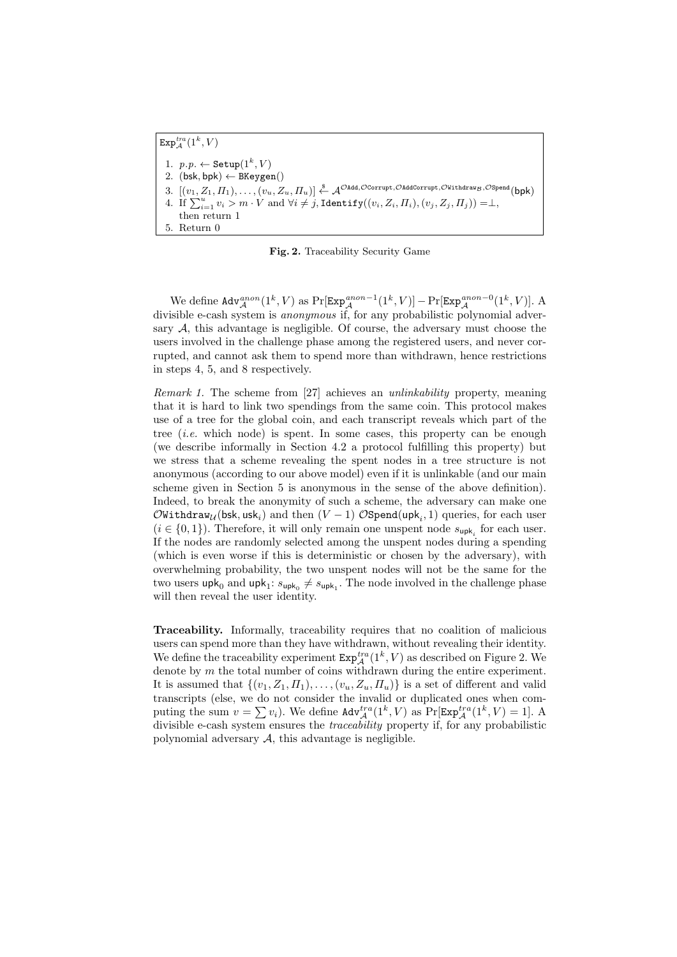$\mathtt{Exp}^{tra}_{\mathcal{A}}(1^k,V)$ 1.  $p.p. \leftarrow \texttt{Setup}(1^k, V)$ 2.  $(bsk, bpk) \leftarrow BKeygen()$  $3. \; [(v_1, Z_1, \Pi_1), \dots, (v_u, Z_u, \Pi_u)] \overset{\$}{\leftarrow} \mathcal{A}^{\mathcal{O}\mathtt{Add}, \mathcal{O}\mathtt{Corrupt}, \mathcal{O}\mathtt{AddCorrupt}, \mathcal{O}\mathtt{Without}_\mathcal{B}, \mathcal{O}\mathtt{Spend}}(\mathsf{bpk})$ 4. If  $\sum_{i=1}^{u} v_i > m \cdot V$  and  $\forall i \neq j$ , Identify $((v_i, Z_i, \Pi_i), (v_j, Z_j, \Pi_j)) = \perp$ , then return 1 5. Return 0

Fig. 2. Traceability Security Game

We define  $\text{Adv}_{\mathcal{A}}^{anon}(1^k, V)$  as  $\Pr[\text{Exp}_{\mathcal{A}}^{anon-1}(1^k, V)] - \Pr[\text{Exp}_{\mathcal{A}}^{anon-0}(1^k, V)].$  A divisible e-cash system is *anonymous* if, for any probabilistic polynomial adversary  $A$ , this advantage is negligible. Of course, the adversary must choose the users involved in the challenge phase among the registered users, and never corrupted, and cannot ask them to spend more than withdrawn, hence restrictions in steps 4, 5, and 8 respectively.

Remark 1. The scheme from [27] achieves an unlinkability property, meaning that it is hard to link two spendings from the same coin. This protocol makes use of a tree for the global coin, and each transcript reveals which part of the tree (*i.e.* which node) is spent. In some cases, this property can be enough (we describe informally in Section 4.2 a protocol fulfilling this property) but we stress that a scheme revealing the spent nodes in a tree structure is not anonymous (according to our above model) even if it is unlinkable (and our main scheme given in Section 5 is anonymous in the sense of the above definition). Indeed, to break the anonymity of such a scheme, the adversary can make one  $\mathcal{O}\texttt{Without}_\mathcal{U}(\texttt{bsk},\texttt{usk}_i)$  and then  $(V-1)$   $\mathcal{O}\texttt{Spend}(\texttt{upk}_i,1)$  queries, for each user  $(i \in \{0,1\})$ . Therefore, it will only remain one unspent node  $s_{\mathsf{upk}_i}$  for each user. If the nodes are randomly selected among the unspent nodes during a spending (which is even worse if this is deterministic or chosen by the adversary), with overwhelming probability, the two unspent nodes will not be the same for the two users  $upk_0$  and  $upk_1: s_{upk_0} \neq s_{upk_1}$ . The node involved in the challenge phase will then reveal the user identity.

Traceability. Informally, traceability requires that no coalition of malicious users can spend more than they have withdrawn, without revealing their identity. We define the traceability experiment  $\text{Exp}_{\mathcal{A}}^{tra}(1^k, V)$  as described on Figure 2. We denote by  $m$  the total number of coins withdrawn during the entire experiment. It is assumed that  $\{(v_1, Z_1, \Pi_1), \ldots, (v_u, Z_u, \Pi_u)\}\$ is a set of different and valid transcripts (else, we do not consider the invalid or duplicated ones when computing the sum  $v = \sum v_i$ ). We define  $\text{Adv}_{\mathcal{A}}^{tra}(1^k, V)$  as  $\Pr[\text{Exp}_{\mathcal{A}}^{tra}(1^k, V) = 1]$ . A divisible e-cash system ensures the *traceability* property if, for any probabilistic polynomial adversary  $A$ , this advantage is negligible.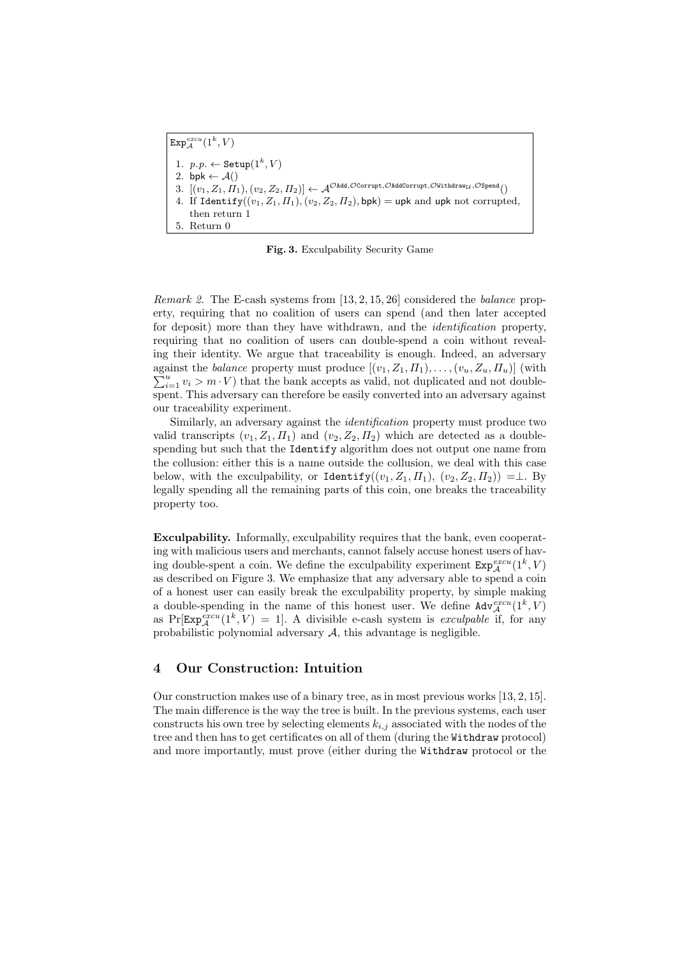$\mathtt{Exp}^{excu}_\mathcal{A}(1^k,V)$ 1.  $p.p. \leftarrow \texttt{Setup}(1^k, V)$ 2. bpk  $\leftarrow \mathcal{A}()$ 3.  $[(v_1, Z_1, \Pi_1), (v_2, Z_2, \Pi_2)] \leftarrow \mathcal{A}^{\mathcal{O}\text{Add}, \mathcal{O}\text{Corrupt}, \mathcal{O}\text{AddCorrupt}, \mathcal{O}\text{Without}(1)}$ 4. If Identify $((v_1, Z_1, \Pi_1), (v_2, Z_2, \Pi_2), \mathsf{bpk}) = \mathsf{upk}$  and  $\mathsf{upk}$  not corrupted, then return 1 5. Return 0

Fig. 3. Exculpability Security Game

Remark 2. The E-cash systems from [13, 2, 15, 26] considered the balance property, requiring that no coalition of users can spend (and then later accepted for deposit) more than they have withdrawn, and the *identification* property, requiring that no coalition of users can double-spend a coin without revealing their identity. We argue that traceability is enough. Indeed, an adversary against the *balance* property must produce  $[(v_1, Z_1, \Pi_1), \ldots, (v_u, Z_u, \Pi_u)]$  (with  $\sum_{i=1}^{u} v_i > m \cdot V$ ) that the bank accepts as valid, not duplicated and not doublespent. This adversary can therefore be easily converted into an adversary against our traceability experiment.

Similarly, an adversary against the identification property must produce two valid transcripts  $(v_1, Z_1, \Pi_1)$  and  $(v_2, Z_2, \Pi_2)$  which are detected as a doublespending but such that the Identify algorithm does not output one name from the collusion: either this is a name outside the collusion, we deal with this case below, with the exculpability, or Identify $((v_1, Z_1, \Pi_1), (v_2, Z_2, \Pi_2)) = \perp$ . By legally spending all the remaining parts of this coin, one breaks the traceability property too.

Exculpability. Informally, exculpability requires that the bank, even cooperating with malicious users and merchants, cannot falsely accuse honest users of having double-spent a coin. We define the exculpability experiment  $\text{Exp}_{\mathcal{A}}^{excu}(1^k, V)$ as described on Figure 3. We emphasize that any adversary able to spend a coin of a honest user can easily break the exculpability property, by simple making a double-spending in the name of this honest user. We define  $\text{Adv}_{\mathcal{A}}^{excu}(1^k, V)$ as  $Pr[Exp_{\mathcal{A}}^{excu}(1^k, V) = 1]$ . A divisible e-cash system is *exculpable* if, for any probabilistic polynomial adversary  $A$ , this advantage is negligible.

### 4 Our Construction: Intuition

Our construction makes use of a binary tree, as in most previous works [13, 2, 15]. The main difference is the way the tree is built. In the previous systems, each user constructs his own tree by selecting elements  $k_{i,j}$  associated with the nodes of the tree and then has to get certificates on all of them (during the Withdraw protocol) and more importantly, must prove (either during the Withdraw protocol or the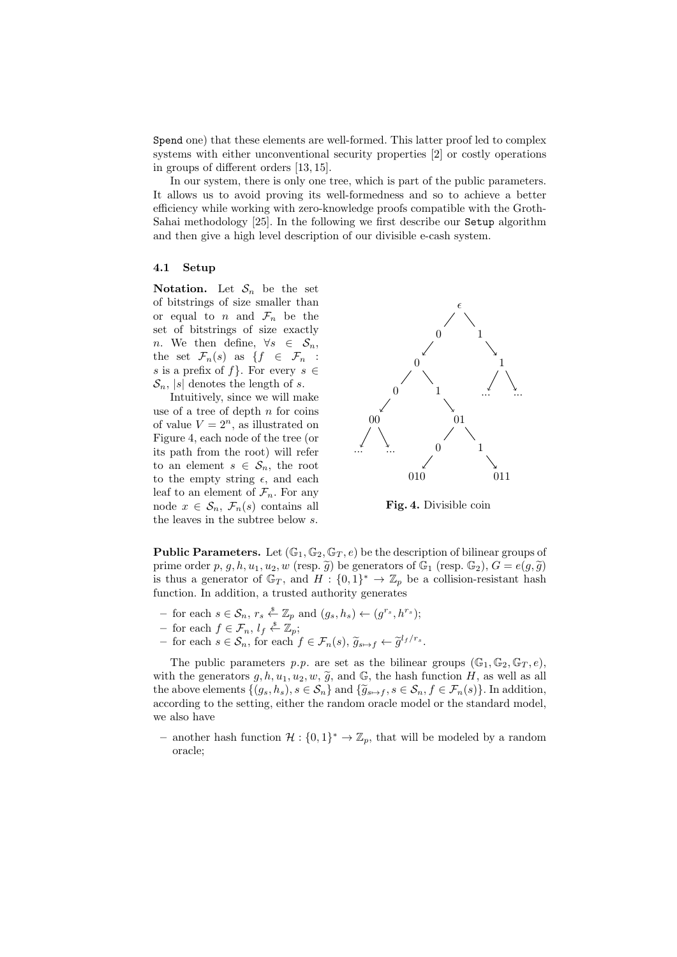Spend one) that these elements are well-formed. This latter proof led to complex systems with either unconventional security properties [2] or costly operations in groups of different orders [13, 15].

In our system, there is only one tree, which is part of the public parameters. It allows us to avoid proving its well-formedness and so to achieve a better efficiency while working with zero-knowledge proofs compatible with the Groth-Sahai methodology [25]. In the following we first describe our Setup algorithm and then give a high level description of our divisible e-cash system.

#### 4.1 Setup

**Notation.** Let  $S_n$  be the set of bitstrings of size smaller than or equal to n and  $\mathcal{F}_n$  be the set of bitstrings of size exactly n. We then define,  $\forall s \in S_n$ , the set  $\mathcal{F}_n(s)$  as  $\{f \in \mathcal{F}_n :$ s is a prefix of f}. For every  $s \in$  $\mathcal{S}_n$ , |s| denotes the length of s.

Intuitively, since we will make use of a tree of depth  $n$  for coins of value  $V = 2<sup>n</sup>$ , as illustrated on Figure 4, each node of the tree (or its path from the root) will refer to an element  $s \in \mathcal{S}_n$ , the root to the empty string  $\epsilon$ , and each leaf to an element of  $\mathcal{F}_n$ . For any node  $x \in \mathcal{S}_n$ ,  $\mathcal{F}_n(s)$  contains all the leaves in the subtree below s.



Fig. 4. Divisible coin

**Public Parameters.** Let  $(\mathbb{G}_1, \mathbb{G}_2, \mathbb{G}_T, e)$  be the description of bilinear groups of prime order p, g, h,  $u_1, u_2, w$  (resp.  $\tilde{g}$ ) be generators of  $\mathbb{G}_1$  (resp.  $\mathbb{G}_2$ ),  $G = e(g, \tilde{g})$ is thus a generator of  $\mathbb{G}_T$ , and  $H: \{0,1\}^* \to \mathbb{Z}_p$  be a collision-resistant hash function. In addition, a trusted authority generates

- − for each  $s \in \mathcal{S}_n$ ,  $r_s \stackrel{\$}{\leftarrow} \mathbb{Z}_p$  and  $(g_s, h_s) \leftarrow (g^{r_s}, h^{r_s})$ ;
- $-$  for each  $f \in \mathcal{F}_n$ ,  $l_f \stackrel{\$}{\leftarrow} \mathbb{Z}_p$ ;
- $-$  for each  $s \in \mathcal{S}_n$ , for each  $f \in \mathcal{F}_n(s)$ ,  $\widetilde{g}_{s \mapsto f} \leftarrow \widetilde{g}^{l_f/r_s}$ .

The public parameters p.p. are set as the bilinear groups  $(\mathbb{G}_1, \mathbb{G}_2, \mathbb{G}_T, e)$ , with the generators  $g, h, u_1, u_2, w, \tilde{g}$ , and  $\mathbb{G}$ , the hash function  $H$ , as well as all the above elements  $\{(g_s, h_s), s \in \mathcal{S}_n\}$  and  $\{\widetilde{g}_{s \mapsto f}, s \in \mathcal{S}_n, f \in \mathcal{F}_n(s)\}$ . In addition, according to the setting, either the random oracle model or the standard model, we also have

− another hash function  $\mathcal{H}: \{0,1\}^* \to \mathbb{Z}_p$ , that will be modeled by a random oracle;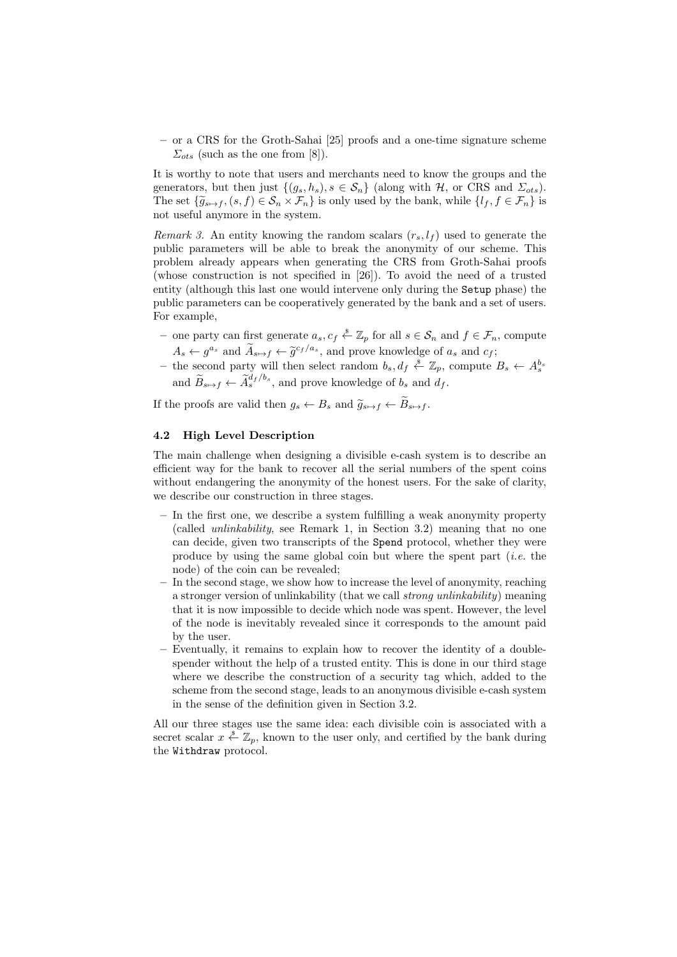– or a CRS for the Groth-Sahai [25] proofs and a one-time signature scheme  $\Sigma_{ots}$  (such as the one from [8]).

It is worthy to note that users and merchants need to know the groups and the generators, but then just  $\{(q_s, h_s), s \in \mathcal{S}_n\}$  (along with  $\mathcal{H}$ , or CRS and  $\Sigma_{ots}$ ). The set  $\{\widetilde{g}_{s\mapsto f},(s, f) \in \mathcal{S}_n \times \mathcal{F}_n\}$  is only used by the bank, while  $\{l_f, f \in \mathcal{F}_n\}$  is not useful anymore in the system.

Remark 3. An entity knowing the random scalars  $(r_s, l_f)$  used to generate the public parameters will be able to break the anonymity of our scheme. This problem already appears when generating the CRS from Groth-Sahai proofs (whose construction is not specified in [26]). To avoid the need of a trusted entity (although this last one would intervene only during the Setup phase) the public parameters can be cooperatively generated by the bank and a set of users. For example,

- − one party can first generate  $a_s, c_f \stackrel{\$}{\leftarrow} \mathbb{Z}_p$  for all  $s \in \mathcal{S}_n$  and  $f \in \mathcal{F}_n$ , compute  $A_s \leftarrow g^{a_s}$  and  $\widetilde{A}_{s \mapsto f} \leftarrow \widetilde{g}^{cf/a_s}$ , and prove knowledge of  $a_s$  and  $c_f$ ;<br>the second porty will then select render  $h \stackrel{d}{\rightarrow} \widetilde{g}$  semples
- the second party will then select random  $b_s, d_f \stackrel{\$}{\leftarrow} \mathbb{Z}_p$ , compute  $B_s \leftarrow A_s^{b_s}$ and  $\widetilde{B}_{s\mapsto f} \leftarrow \widetilde{A}_{s}^{d_{f}/b_{s}},$  and prove knowledge of  $b_{s}$  and  $d_{f}$ .

If the proofs are valid then  $g_s \leftarrow B_s$  and  $\widetilde{g}_{s \mapsto f} \leftarrow \widetilde{B}_{s \mapsto f}$ .

#### 4.2 High Level Description

The main challenge when designing a divisible e-cash system is to describe an efficient way for the bank to recover all the serial numbers of the spent coins without endangering the anonymity of the honest users. For the sake of clarity, we describe our construction in three stages.

- In the first one, we describe a system fulfilling a weak anonymity property (called unlinkability, see Remark 1, in Section 3.2) meaning that no one can decide, given two transcripts of the Spend protocol, whether they were produce by using the same global coin but where the spent part (i.e. the node) of the coin can be revealed;
- In the second stage, we show how to increase the level of anonymity, reaching a stronger version of unlinkability (that we call strong unlinkability) meaning that it is now impossible to decide which node was spent. However, the level of the node is inevitably revealed since it corresponds to the amount paid by the user.
- Eventually, it remains to explain how to recover the identity of a doublespender without the help of a trusted entity. This is done in our third stage where we describe the construction of a security tag which, added to the scheme from the second stage, leads to an anonymous divisible e-cash system in the sense of the definition given in Section 3.2.

All our three stages use the same idea: each divisible coin is associated with a secret scalar  $x \stackrel{s}{\leftarrow} \mathbb{Z}_p$ , known to the user only, and certified by the bank during the Withdraw protocol.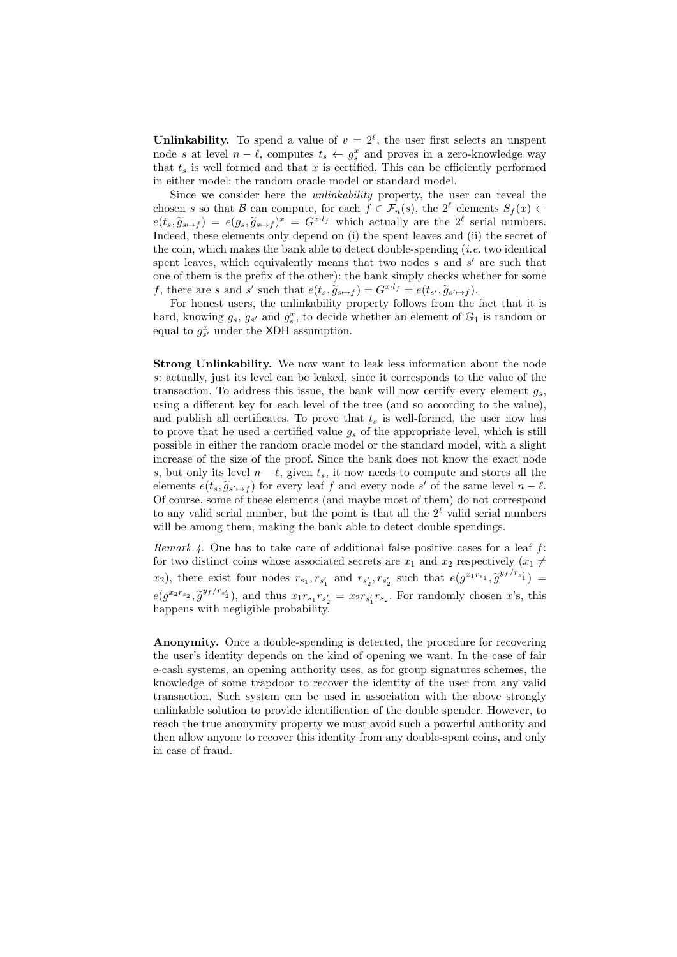**Unlinkability.** To spend a value of  $v = 2^{\ell}$ , the user first selects an unspent node s at level  $n - \ell$ , computes  $t_s \leftarrow g_s^x$  and proves in a zero-knowledge way that  $t_s$  is well formed and that  $x$  is certified. This can be efficiently performed in either model: the random oracle model or standard model.

Since we consider here the unlinkability property, the user can reveal the chosen s so that B can compute, for each  $f \in \mathcal{F}_n(s)$ , the  $2^{\ell}$  elements  $S_f(x)$   $\leftarrow$  $e(t_s, \tilde{g}_{s \mapsto f}) = e(g_s, \tilde{g}_{s \mapsto f})^x = G^{x \cdot l_f}$  which actually are the  $2^{\ell}$  serial numbers.<br>Indeed, these elements only depend on (i) the sport leaves and (ii) the secret of Indeed, these elements only depend on (i) the spent leaves and (ii) the secret of the coin, which makes the bank able to detect double-spending  $(i.e.$  two identical spent leaves, which equivalently means that two nodes  $s$  and  $s'$  are such that one of them is the prefix of the other): the bank simply checks whether for some f, there are s and s' such that  $e(t_s, \tilde{g}_{s \mapsto f}) = G^{x \cdot l_f} = e(t_{s'}, \tilde{g}_{s' \mapsto f}).$ 

For honest users, the unlinkability property follows from the fact that it is hard, knowing  $g_s$ ,  $g_{s'}$  and  $g_s^x$ , to decide whether an element of  $\mathbb{G}_1$  is random or equal to  $g_{s'}^x$  under the XDH assumption.

Strong Unlinkability. We now want to leak less information about the node s: actually, just its level can be leaked, since it corresponds to the value of the transaction. To address this issue, the bank will now certify every element  $g_s$ , using a different key for each level of the tree (and so according to the value), and publish all certificates. To prove that  $t_s$  is well-formed, the user now has to prove that he used a certified value  $g_s$  of the appropriate level, which is still possible in either the random oracle model or the standard model, with a slight increase of the size of the proof. Since the bank does not know the exact node s, but only its level  $n - \ell$ , given  $t_s$ , it now needs to compute and stores all the elements  $e(t_s, \tilde{g}_{s' \mapsto f})$  for every leaf f and every node s' of the same level  $n - \ell$ . Of course, some of these elements (and maybe most of them) do not correspond to any valid serial number, but the point is that all the  $2^{\ell}$  valid serial numbers will be among them, making the bank able to detect double spendings.

Remark 4. One has to take care of additional false positive cases for a leaf  $f$ : for two distinct coins whose associated secrets are  $x_1$  and  $x_2$  respectively  $(x_1 \neq$  $(x_2)$ , there exist four nodes  $r_{s_1}, r_{s'_1}$  and  $r_{s'_2}, r_{s'_2}$  such that  $e(g^{x_1r_{s_1}}, \tilde{g}^{y_f/r_{s'_1}}) =$  $e(g^{x_2r_{s_2}}, \tilde{g}^{y_f/r_{s'_2}})$ , and thus  $x_1r_{s_1}r_{s'_2} = x_2r_{s'_1}r_{s_2}$ . For randomly chosen x's, this happens with negligible probability.

Anonymity. Once a double-spending is detected, the procedure for recovering the user's identity depends on the kind of opening we want. In the case of fair e-cash systems, an opening authority uses, as for group signatures schemes, the knowledge of some trapdoor to recover the identity of the user from any valid transaction. Such system can be used in association with the above strongly unlinkable solution to provide identification of the double spender. However, to reach the true anonymity property we must avoid such a powerful authority and then allow anyone to recover this identity from any double-spent coins, and only in case of fraud.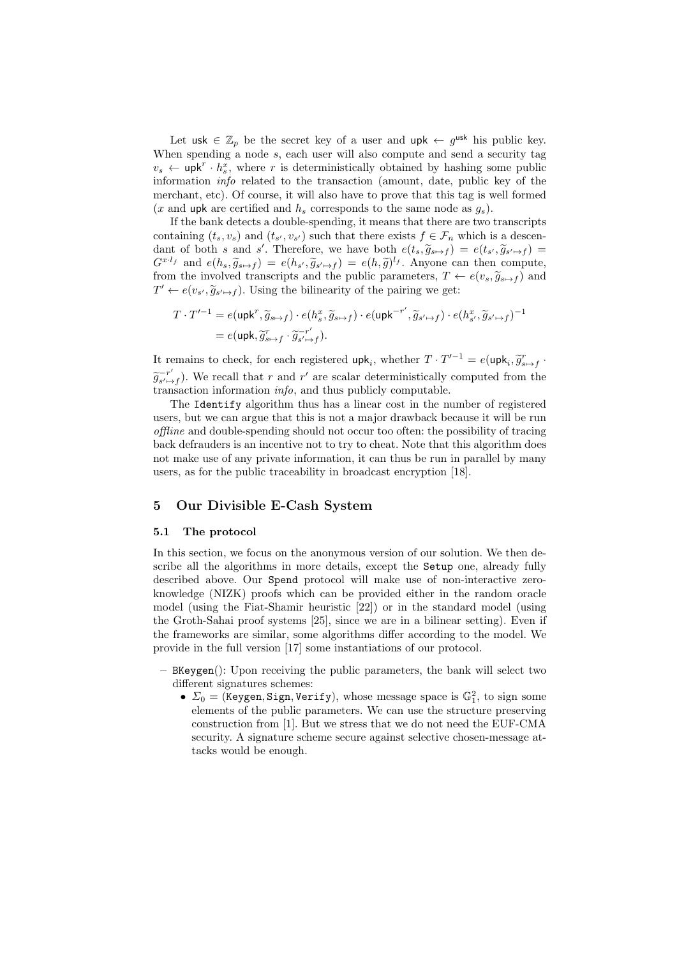Let usk  $\in \mathbb{Z}_p$  be the secret key of a user and upk  $\leftarrow g^{\text{usk}}$  his public key. When spending a node s, each user will also compute and send a security tag  $v_s \leftarrow \text{upk}^r \cdot h_s^x$ , where r is deterministically obtained by hashing some public information info related to the transaction (amount, date, public key of the merchant, etc). Of course, it will also have to prove that this tag is well formed (x and upk are certified and  $h_s$  corresponds to the same node as  $g_s$ ).

If the bank detects a double-spending, it means that there are two transcripts containing  $(t_s, v_s)$  and  $(t_{s'}, v_{s'})$  such that there exists  $f \in \mathcal{F}_n$  which is a descendant of both s and s'. Therefore, we have both  $e(t_s, \tilde{g}_{s \mapsto f}) = e(t_{s'}, \tilde{g}_{s' \mapsto f}) =$ <br> $C^{x \cdot l}$  and  $e(h, \tilde{g}_{s}) = e(h, \tilde{g}_{s \mapsto f}) = e(h, \tilde{g})^{l}$  (hypono can then compute  $G^{x \cdot l_f}$  and  $e(h_s, \tilde{g}_{s \mapsto f}) = e(h_{s'}, \tilde{g}_{s' \mapsto f}) = e(h, \tilde{g})^{l_f}$ . Anyone can then compute,<br>from the involved transcripts and the public parameters  $T \leftarrow e(x, \tilde{g}_{s \mapsto f})$  and from the involved transcripts and the public parameters,  $T \leftarrow e(v_s, \tilde{g}_{s \mapsto f})$  and  $T' \leftarrow e(v_{s'}, \widetilde{g}_{s' \mapsto f})$ . Using the bilinearity of the pairing we get:

$$
T \cdot T'^{-1} = e(\text{upk}^r, \widetilde{g}_{s \mapsto f}) \cdot e(h_s^x, \widetilde{g}_{s \mapsto f}) \cdot e(\text{upk}^{-r'}, \widetilde{g}_{s' \mapsto f}) \cdot e(h_{s'}^x, \widetilde{g}_{s' \mapsto f})^{-1}
$$
  
= 
$$
e(\text{upk}, \widetilde{g}_{s \mapsto f}^r \cdot \widetilde{g}_{s' \mapsto f}^{-r'})
$$
.

It remains to check, for each registered  $upk_i$ , whether  $T \cdot T'^{-1} = e(upk_i, \widetilde{g}_{s \mapsto f}^T \cdot \widetilde{g}_{s \mapsto f}^T$ .  $\widetilde{g}_{s'\mapsto s}^{-r'}$  $\sum_{s'\mapsto f}^{(-r')}$ . We recall that r and r' are scalar deterministically computed from the transaction information info, and thus publicly computable.

The Identify algorithm thus has a linear cost in the number of registered users, but we can argue that this is not a major drawback because it will be run offline and double-spending should not occur too often: the possibility of tracing back defrauders is an incentive not to try to cheat. Note that this algorithm does not make use of any private information, it can thus be run in parallel by many users, as for the public traceability in broadcast encryption [18].

# 5 Our Divisible E-Cash System

#### 5.1 The protocol

In this section, we focus on the anonymous version of our solution. We then describe all the algorithms in more details, except the Setup one, already fully described above. Our Spend protocol will make use of non-interactive zeroknowledge (NIZK) proofs which can be provided either in the random oracle model (using the Fiat-Shamir heuristic [22]) or in the standard model (using the Groth-Sahai proof systems [25], since we are in a bilinear setting). Even if the frameworks are similar, some algorithms differ according to the model. We provide in the full version [17] some instantiations of our protocol.

- BKeygen(): Upon receiving the public parameters, the bank will select two different signatures schemes:
	- $\Sigma_0 = (Keygen, Sign, Verify),$  whose message space is  $\mathbb{G}_1^2$ , to sign some elements of the public parameters. We can use the structure preserving construction from [1]. But we stress that we do not need the EUF-CMA security. A signature scheme secure against selective chosen-message attacks would be enough.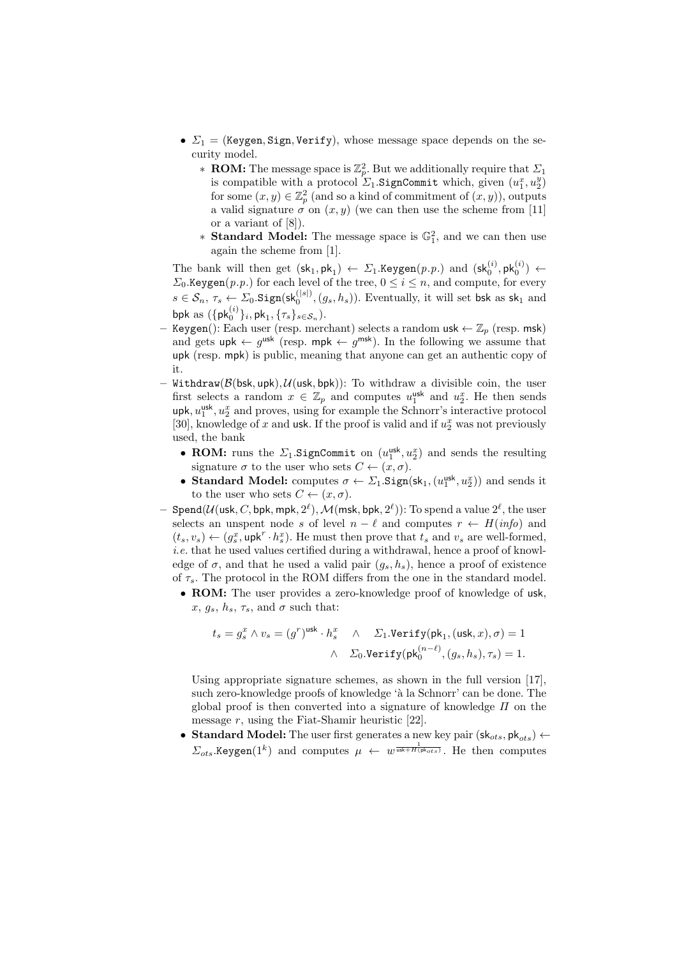- $\Sigma_1$  = (Keygen, Sign, Verify), whose message space depends on the security model.
	- **\* ROM:** The message space is  $\mathbb{Z}_p^2$ . But we additionally require that  $\Sigma_1$ is compatible with a protocol  $\sum_1$ . SignCommit which, given  $(u_1^x, u_2^y)$ for some  $(x, y) \in \mathbb{Z}_p^2$  (and so a kind of commitment of  $(x, y)$ ), outputs a valid signature  $\sigma$  on  $(x, y)$  (we can then use the scheme from [11] or a variant of [8]).
	- **\* Standard Model:** The message space is  $\mathbb{G}_1^2$ , and we can then use again the scheme from [1].

The bank will then get  $(\mathsf{sk}_1, \mathsf{pk}_1) \leftarrow \Sigma_1.\mathtt{Keygen}(p.p.)$  and  $(\mathsf{sk}_0^{(i)}, \mathsf{pk}_0^{(i)}) \leftarrow$  $\Sigma_0$ .Keygen $(p.p.)$  for each level of the tree,  $0 \le i \le n$ , and compute, for every  $s \in \mathcal{S}_n$ ,  $\tau_s \leftarrow \Sigma_0$ . Sign(sk $_0^{(|s|)}, (g_s, h_s)$ ). Eventually, it will set bsk as sk<sub>1</sub> and bpk as  $(\{\mathsf{pk}_0^{(i)}\}_i, \mathsf{pk}_1, \{\tau_s\}_{s\in\mathcal{S}_n}).$ 

- Keygen(): Each user (resp. merchant) selects a random  ${\sf usk} \leftarrow {\mathbb Z}_p$  (resp.  ${\sf msk})$ and gets upk  $\leftarrow g^{\text{usk}}$  (resp. mpk  $\leftarrow g^{\text{msk}}$ ). In the following we assume that upk (resp. mpk) is public, meaning that anyone can get an authentic copy of it.
- Withdraw( $\mathcal{B}(\mathsf{bsk}, \mathsf{upk}), \mathcal{U}(\mathsf{usk}, \mathsf{bpk})$ ): To withdraw a divisible coin, the user first selects a random  $x \in \mathbb{Z}_p$  and computes  $u_1^{\text{usk}}$  and  $u_2^x$ . He then sends  $upk, u_1^{usk}, u_2^x$  and proves, using for example the Schnorr's interactive protocol [30], knowledge of  $x$  and usk. If the proof is valid and if  $u_2^x$  was not previously used, the bank
	- ROM: runs the  $\Sigma_1$ . SignCommit on  $(u_1^{\text{usk}}, u_2^x)$  and sends the resulting signature  $\sigma$  to the user who sets  $C \leftarrow (x, \sigma)$ .
	- Standard Model: computes  $\sigma \leftarrow \Sigma_1$ . Sign(sk<sub>1</sub>, ( $u_1^{\text{usk}}$ ,  $u_2^{\text{z}}$ )) and sends it to the user who sets  $C \leftarrow (x, \sigma)$ .
- $-$  Spend $(\mathcal{U}(\mathsf{usk}, C, \mathsf{bpk}, \mathsf{mpk}, 2^\ell), \mathcal{M}(\mathsf{msk}, \mathsf{bpk}, 2^\ell))$ : To spend a value  $2^\ell,$  the user selects an unspent node s of level  $n - \ell$  and computes  $r \leftarrow H(info)$  and  $(t_s, v_s) \leftarrow (g_s^x, \text{upk}^r \cdot h_s^x)$ . He must then prove that  $t_s$  and  $v_s$  are well-formed, i.e. that he used values certified during a withdrawal, hence a proof of knowledge of  $\sigma$ , and that he used a valid pair  $(g_s, h_s)$ , hence a proof of existence of  $\tau_s$ . The protocol in the ROM differs from the one in the standard model.
	- ROM: The user provides a zero-knowledge proof of knowledge of usk,  $x, g_s, h_s, \tau_s$ , and  $\sigma$  such that:

$$
\begin{aligned} t_s=g_s^x\wedge v_s=(g^r)^{\text{usk}}\cdot h_s^x &\wedge&\Sigma_1.\text{Verify}(\text{pk}_1,(\text{usk},x),\sigma)=1\\ &\wedge&\Sigma_0.\text{Verify}(\text{pk}_0^{(n-\ell)},(g_s,h_s),\tau_s)=1. \end{aligned}
$$

Using appropriate signature schemes, as shown in the full version [17], such zero-knowledge proofs of knowledge 'à la Schnorr' can be done. The global proof is then converted into a signature of knowledge  $\Pi$  on the message  $r$ , using the Fiat-Shamir heuristic [22].

• Standard Model: The user first generates a new key pair  $(\mathsf{sk}_{ots}, \mathsf{pk}_{ots}) \leftarrow$  $\Sigma_{ots}$ .Keygen(1<sup>k</sup>) and computes  $\mu \leftarrow w^{\frac{1}{\text{usk} + H(\text{pk}_{ots})}}$ . He then computes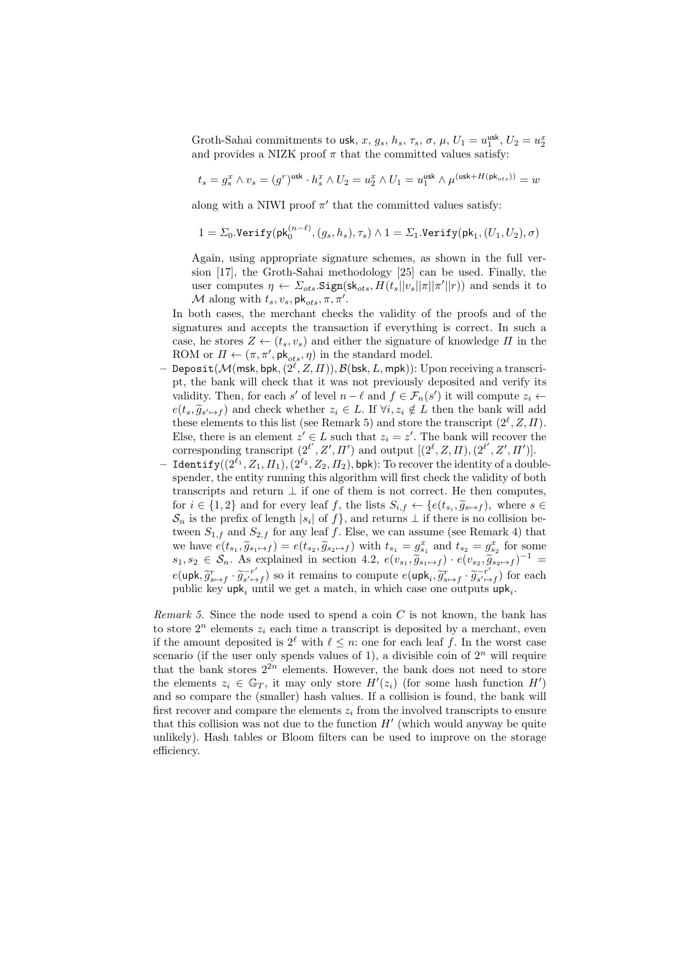Groth-Sahai commitments to usk,  $x, g_s, h_s, \tau_s, \sigma, \mu, U_1 = u_1^{\text{usk}}, U_2 = u_2^{\text{z}}$ and provides a NIZK proof  $\pi$  that the committed values satisfy:

$$
t_s = g_s^x \wedge v_s = (g^r)^{\text{usk}} \cdot h_s^x \wedge U_2 = u_2^x \wedge U_1 = u_1^{\text{usk}} \wedge \mu^{(\text{usk} + H(\text{pk}_{ots}))} = w
$$

along with a NIWI proof  $\pi'$  that the committed values satisfy:

$$
1 = \Sigma_0.\mathtt{Verify}(\mathsf{pk}_0^{(n-\ell)},(g_s,h_s),\tau_s) \land 1 = \Sigma_1.\mathtt{Verify}(\mathsf{pk}_1,(U_1,U_2),\sigma)
$$

Again, using appropriate signature schemes, as shown in the full version [17], the Groth-Sahai methodology [25] can be used. Finally, the user computes  $\eta \leftarrow \Sigma_{ots}$ . Sign $(\mathsf{sk}_{ots}, H(t_s||v_s||\pi||\pi'||r))$  and sends it to M along with  $t_s, v_s, \mathsf{pk}_{ots}, \pi, \pi'.$ 

In both cases, the merchant checks the validity of the proofs and of the signatures and accepts the transaction if everything is correct. In such a case, he stores  $Z \leftarrow (t_s, v_s)$  and either the signature of knowledge  $\Pi$  in the ROM or  $\Pi \leftarrow (\pi, \pi', \mathsf{pk}_{ots}, \eta)$  in the standard model.

- $-$  Deposit $(\mathcal{M}(\mathsf{msk},\mathsf{bpk},(2^\ell,Z,\mathit{\Pi})),\mathcal{B}(\mathsf{bsk},L,\mathsf{mpk}))$ : Upon receiving a transcript, the bank will check that it was not previously deposited and verify its validity. Then, for each s' of level  $n - \ell$  and  $f \in \mathcal{F}_n(s')$  it will compute  $z_i \leftarrow$  $e(t_s, \tilde{g}_{s' \mapsto f})$  and check whether  $z_i \in L$ . If  $\forall i, z_i \notin L$  then the bank will add those elements to this list (see Bomark 5) and store the transcript  $(2^{\ell} \times \Pi)$ these elements to this list (see Remark 5) and store the transcript  $(2^{\ell}, Z, \Pi)$ . Else, there is an element  $z' \in L$  such that  $z_i = z'$ . The bank will recover the corresponding transcript  $(2^{\ell'}, Z', \Pi')$  and output  $[(2^{\ell}, Z, \Pi), (2^{\ell'}, Z', \Pi')]$ .
- $-$  Identify $((2^{\ell_1},Z_1,\varPi_1), (2^{\ell_2},Z_2,\varPi_2),$  bpk): To recover the identity of a doublespender, the entity running this algorithm will first check the validity of both transcripts and return  $\perp$  if one of them is not correct. He then computes, for  $i \in \{1,2\}$  and for every leaf f, the lists  $S_{i,f} \leftarrow \{e(t_{s_i}, \tilde{g}_{s\mapsto f})\}$ , where  $s \in S$ , is the profix of length leal of f l, and returns if there is no collision be  $\mathcal{S}_n$  is the prefix of length  $|s_i|$  of f, and returns  $\perp$  if there is no collision between  $S_{1,f}$  and  $S_{2,f}$  for any leaf f. Else, we can assume (see Remark 4) that we have  $e(t_{s_1}, \widetilde{g}_{s_1 \mapsto f}) = e(t_{s_2}, \widetilde{g}_{s_2 \mapsto f})$  with  $t_{s_1} = g_{s_1}^x$  and  $t_{s_2} = g_{s_2}^x$  for some  $s_1, s_2 \in \mathcal{S}_n$ . As explained in section 4.2,  $e(v_{s_1}, \widetilde{g}_{s_1 \mapsto f}) \cdot e(v_{s_2}, \widetilde{g}_{s_2 \mapsto f})^{-1} =$  $e(\text{upk}, \tilde{g}_{s\mapsto f}^r \cdot \tilde{g}_{s'\mapsto f}^{-r'})$  so it remains to compute  $e(\text{upk}_i, \tilde{g}_{s\mapsto f}^r \cdot \tilde{g}_{s'\mapsto f}^{-r'})$  for each public kov up whitl we get a match in which case one outputs up public key  $upk_i$  until we get a match, in which case one outputs  $upk_i$ .

Remark 5. Since the node used to spend a coin  $C$  is not known, the bank has to store  $2^n$  elements  $z_i$  each time a transcript is deposited by a merchant, even if the amount deposited is  $2^{\ell}$  with  $\ell \leq n$ : one for each leaf f. In the worst case scenario (if the user only spends values of 1), a divisible coin of  $2<sup>n</sup>$  will require that the bank stores  $2^{2n}$  elements. However, the bank does not need to store the elements  $z_i \in \mathbb{G}_T$ , it may only store  $H'(z_i)$  (for some hash function  $H'(z_i)$ ) and so compare the (smaller) hash values. If a collision is found, the bank will first recover and compare the elements  $z_i$  from the involved transcripts to ensure that this collision was not due to the function  $H'$  (which would anyway be quite unlikely). Hash tables or Bloom filters can be used to improve on the storage efficiency.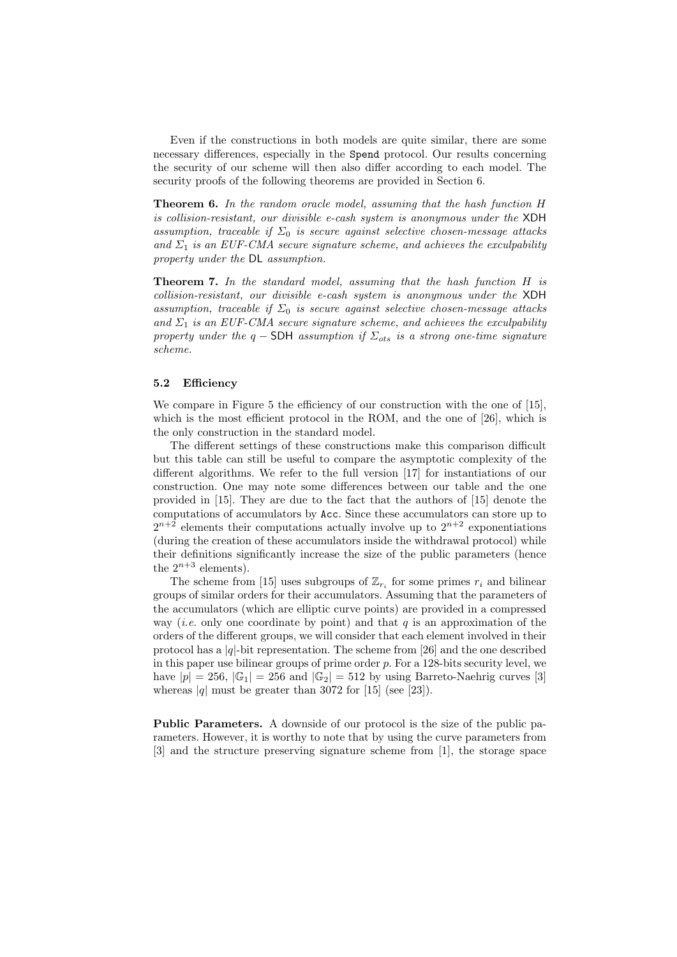Even if the constructions in both models are quite similar, there are some necessary differences, especially in the Spend protocol. Our results concerning the security of our scheme will then also differ according to each model. The security proofs of the following theorems are provided in Section 6.

Theorem 6. In the random oracle model, assuming that the hash function H is collision-resistant, our divisible e-cash system is anonymous under the XDH assumption, traceable if  $\Sigma_0$  is secure against selective chosen-message attacks and  $\Sigma_1$  is an EUF-CMA secure signature scheme, and achieves the exculpability property under the DL assumption.

Theorem 7. In the standard model, assuming that the hash function H is collision-resistant, our divisible e-cash system is anonymous under the XDH assumption, traceable if  $\Sigma_0$  is secure against selective chosen-message attacks and  $\Sigma_1$  is an EUF-CMA secure signature scheme, and achieves the exculpability property under the  $q - SDH$  assumption if  $\Sigma_{ots}$  is a strong one-time signature scheme.

### 5.2 Efficiency

We compare in Figure 5 the efficiency of our construction with the one of [15], which is the most efficient protocol in the ROM, and the one of [26], which is the only construction in the standard model.

The different settings of these constructions make this comparison difficult but this table can still be useful to compare the asymptotic complexity of the different algorithms. We refer to the full version [17] for instantiations of our construction. One may note some differences between our table and the one provided in [15]. They are due to the fact that the authors of [15] denote the computations of accumulators by Acc. Since these accumulators can store up to  $2^{n+2}$  elements their computations actually involve up to  $2^{n+2}$  exponentiations (during the creation of these accumulators inside the withdrawal protocol) while their definitions significantly increase the size of the public parameters (hence the  $2^{n+3}$  elements).

The scheme from [15] uses subgroups of  $\mathbb{Z}_{r_i}$  for some primes  $r_i$  and bilinear groups of similar orders for their accumulators. Assuming that the parameters of the accumulators (which are elliptic curve points) are provided in a compressed way *(i.e.* only one coordinate by point) and that  $q$  is an approximation of the orders of the different groups, we will consider that each element involved in their protocol has a  $|q|$ -bit representation. The scheme from [26] and the one described in this paper use bilinear groups of prime order  $p$ . For a 128-bits security level, we have  $|p| = 256$ ,  $|\mathbb{G}_1| = 256$  and  $|\mathbb{G}_2| = 512$  by using Barreto-Naehrig curves [3] whereas  $|q|$  must be greater than 3072 for [15] (see [23]).

Public Parameters. A downside of our protocol is the size of the public parameters. However, it is worthy to note that by using the curve parameters from [3] and the structure preserving signature scheme from [1], the storage space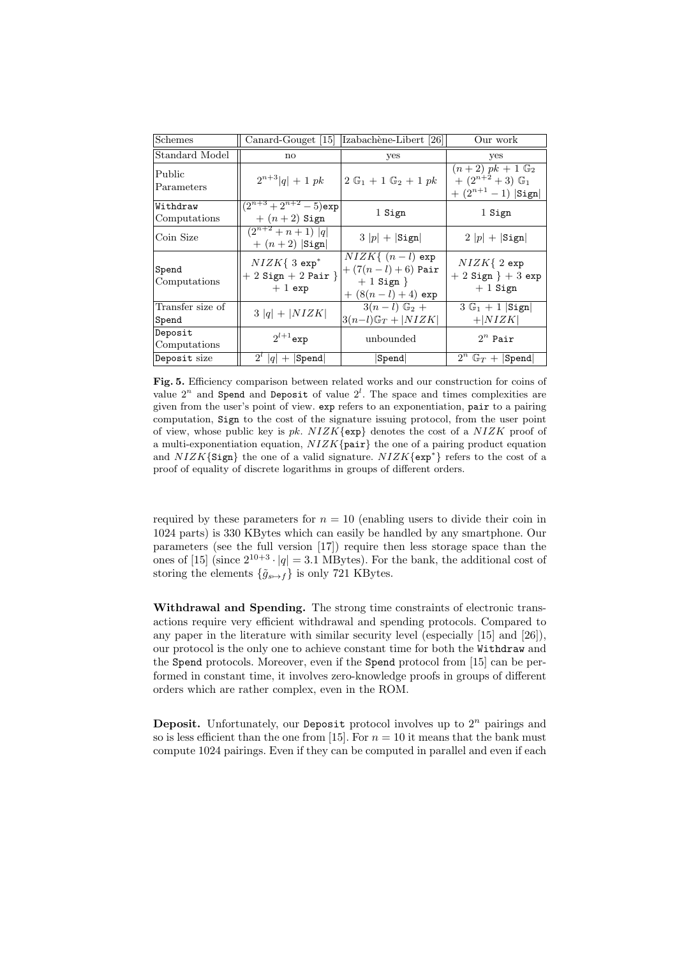| Schemes                   |                                                                  | Canard-Gouget [15]   Izabachène-Libert [26]                                                | Our work                                                                                  |
|---------------------------|------------------------------------------------------------------|--------------------------------------------------------------------------------------------|-------------------------------------------------------------------------------------------|
| Standard Model            | $\mathbf{n}$                                                     | yes                                                                                        | yes                                                                                       |
| Public<br>Parameters      | $2^{n+3} q  + 1 pk$                                              | $2\mathbb{G}_1+1\mathbb{G}_2+1pk$                                                          | $(n+2) p k + 1 \mathbb{G}_2$<br>+ $(2^{n+2}+3)$ G <sub>1</sub><br>$+ (2^{n+1} - 1)$  Sign |
| Withdraw<br>Computations  | $\overline{(2^{n+3}+2^{n+2}-5)}$ exp<br>$+(n+2)$ Sign            | 1 Sign                                                                                     | 1 Sign                                                                                    |
| Coin Size                 | $(2^{n+2}+n+1)$  q <br>$+ (n+2)$ Sign                            | $3 p  +  \text{Sign} $                                                                     | $2 p  +  \text{Sign} $                                                                    |
| Spend<br>Computations     | $NIZK$ { 3 exp <sup>*</sup><br>$+ 2$ Sign + 2 Pair }<br>$+1$ exp | $\overline{NIZK}$ { $(n-l)$ exp<br>$+(7(n-l)+6)$ Pair<br>$+1$ Sign }<br>$+ (8(n-l)+4)$ exp | $NIZK$ { 2 exp<br>$+ 2$ Sign } + 3 exp<br>$+1$ Sign                                       |
| Transfer size of<br>Spend | $3 q  +  NIZK $                                                  | $3(n-l)$ $\mathbb{G}_2$ +<br>$3(n-l)\mathbb{G}_T +  NIZK $                                 | $3 \mathbb{G}_1 + 1$ Sign<br>$+$  NIZK                                                    |
| Deposit<br>Computations   | $2^{l+1}$ exp                                                    | unbounded                                                                                  | $2^n$ Pair                                                                                |
| Deposit size              | $2^{l}$  q  +  Spend                                             | $ \mathtt{Spend} $                                                                         | $2^n$ G <sub>T</sub> +  Spend                                                             |

Fig. 5. Efficiency comparison between related works and our construction for coins of value  $2^n$  and Spend and Deposit of value  $2^l$ . The space and times complexities are given from the user's point of view. exp refers to an exponentiation, pair to a pairing computation, Sign to the cost of the signature issuing protocol, from the user point of view, whose public key is  $pk. NIZK$ {exp} denotes the cost of a  $NIZK$  proof of a multi-exponentiation equation,  $NIZK$ {pair} the one of a pairing product equation and  $NIZK$ {Sign} the one of a valid signature.  $NIZK$ {exp<sup>\*</sup>} refers to the cost of a proof of equality of discrete logarithms in groups of different orders.

required by these parameters for  $n = 10$  (enabling users to divide their coin in 1024 parts) is 330 KBytes which can easily be handled by any smartphone. Our parameters (see the full version [17]) require then less storage space than the ones of [15] (since  $2^{10+3} \cdot |q| = 3.1$  MBytes). For the bank, the additional cost of storing the elements  $\{\tilde{g}_{s \mapsto f}\}\$ is only 721 KBytes.

Withdrawal and Spending. The strong time constraints of electronic transactions require very efficient withdrawal and spending protocols. Compared to any paper in the literature with similar security level (especially [15] and [26]), our protocol is the only one to achieve constant time for both the Withdraw and the Spend protocols. Moreover, even if the Spend protocol from [15] can be performed in constant time, it involves zero-knowledge proofs in groups of different orders which are rather complex, even in the ROM.

**Deposit.** Unfortunately, our Deposit protocol involves up to  $2^n$  pairings and so is less efficient than the one from [15]. For  $n = 10$  it means that the bank must compute 1024 pairings. Even if they can be computed in parallel and even if each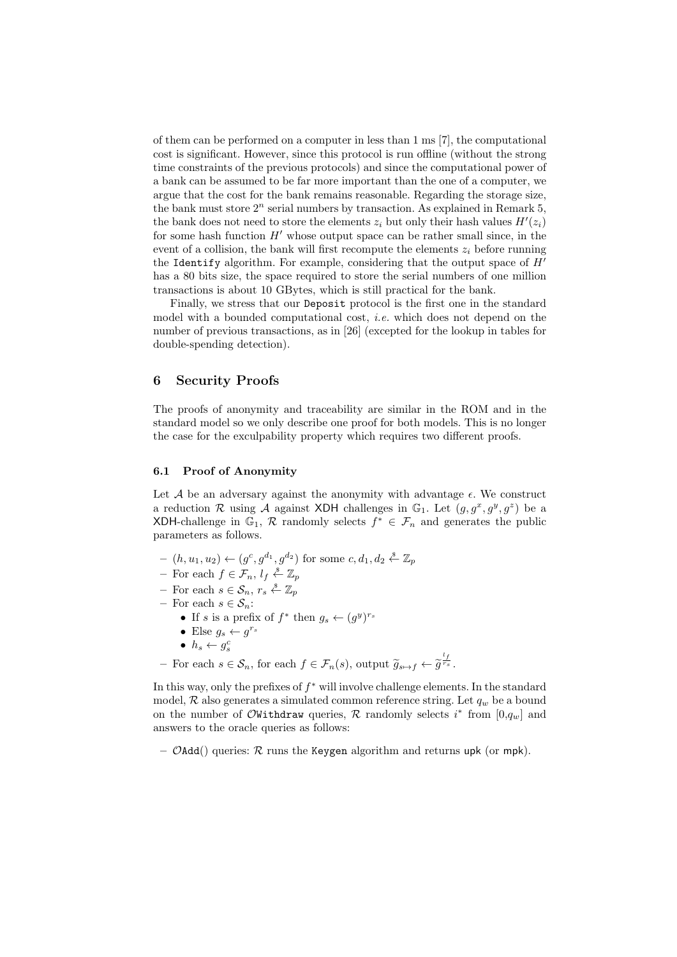of them can be performed on a computer in less than 1 ms [7], the computational cost is significant. However, since this protocol is run offline (without the strong time constraints of the previous protocols) and since the computational power of a bank can be assumed to be far more important than the one of a computer, we argue that the cost for the bank remains reasonable. Regarding the storage size, the bank must store  $2^n$  serial numbers by transaction. As explained in Remark 5, the bank does not need to store the elements  $z_i$  but only their hash values  $H'(z_i)$ for some hash function  $H'$  whose output space can be rather small since, in the event of a collision, the bank will first recompute the elements  $z_i$  before running the Identify algorithm. For example, considering that the output space of  $H'$ has a 80 bits size, the space required to store the serial numbers of one million transactions is about 10 GBytes, which is still practical for the bank.

Finally, we stress that our Deposit protocol is the first one in the standard model with a bounded computational cost, i.e. which does not depend on the number of previous transactions, as in [26] (excepted for the lookup in tables for double-spending detection).

### 6 Security Proofs

The proofs of anonymity and traceability are similar in the ROM and in the standard model so we only describe one proof for both models. This is no longer the case for the exculpability property which requires two different proofs.

### 6.1 Proof of Anonymity

Let A be an adversary against the anonymity with advantage  $\epsilon$ . We construct a reduction  $\mathcal R$  using  $\mathcal A$  against XDH challenges in  $\mathbb G_1$ . Let  $(g, g^x, g^y, g^z)$  be a XDH-challenge in  $\mathbb{G}_1$ , R randomly selects  $f^* \in \mathcal{F}_n$  and generates the public parameters as follows.

- $(h, u_1, u_2) \leftarrow (g^c, g^{d_1}, g^{d_2})$  for some  $c, d_1, d_2 \xleftarrow{\$} \mathbb{Z}_p$
- $-$  For each  $f \in \mathcal{F}_n$ ,  $l_f \stackrel{\$}{\leftarrow} \mathbb{Z}_p$
- $-$  For each  $s \in \mathcal{S}_n$ ,  $r_s \stackrel{\$}{\leftarrow} \mathbb{Z}_p$
- For each  $s \in \mathcal{S}_n$ :
	- If s is a prefix of  $f^*$  then  $g_s \leftarrow (g^y)^{r_s}$
	- Else  $g_s \leftarrow g^{r_s}$
	- $h_s \leftarrow g_s^c$
- For each  $s \in S_n$ , for each  $f \in \mathcal{F}_n(s)$ , output  $\widetilde{g}_{s \mapsto f} \leftarrow \widetilde{g}^{\frac{lf}{rs}}$ .

In this way, only the prefixes of  $f^*$  will involve challenge elements. In the standard model,  $\mathcal R$  also generates a simulated common reference string. Let  $q_w$  be a bound on the number of  $\mathcal{O}$ Withdraw queries,  $\mathcal{R}$  randomly selects i<sup>\*</sup> from  $[0,q_w]$  and answers to the oracle queries as follows:

–  $OAdd()$  queries:  $R$  runs the Keygen algorithm and returns upk (or mpk).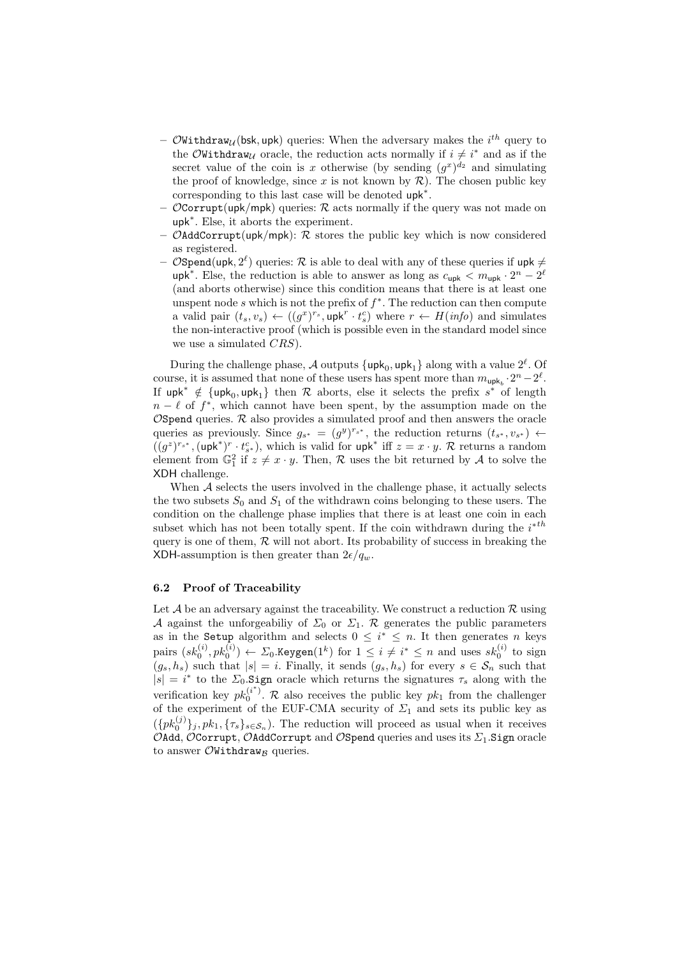- $\mathcal{O}$ Withdraw<sub>U</sub> (bsk, upk) queries: When the adversary makes the  $i^{th}$  query to the OWithdraw<sub>U</sub> oracle, the reduction acts normally if  $i \neq i^*$  and as if the secret value of the coin is x otherwise (by sending  $(g^x)^{d_2}$  and simulating the proof of knowledge, since x is not known by  $\mathcal{R}$ ). The chosen public key corresponding to this last case will be denoted upk<sup>\*</sup>.
- $\mathcal{O}$ Corrupt(upk/mpk) queries:  $\mathcal R$  acts normally if the query was not made on upk<sup>∗</sup> . Else, it aborts the experiment.
- $\mathcal{O}$ AddCorrupt(upk/mpk):  $\mathcal{R}$  stores the public key which is now considered as registered.
- $\mathcal{O}\mathsf{Spend}(\mathsf{upk},2^\ell)$  queries:  $\mathcal R$  is able to deal with any of these queries if  $\mathsf{upk} \neq \emptyset$ upk<sup>\*</sup>. Else, the reduction is able to answer as long as  $c_{\text{upk}} < m_{\text{upk}} \cdot 2^n - 2^{\ell}$ (and aborts otherwise) since this condition means that there is at least one unspent node  $s$  which is not the prefix of  $f^*$ . The reduction can then compute a valid pair  $(t_s, v_s) \leftarrow ((g^x)^{r_s}, \text{upk}^r \cdot t_s^c)$  where  $r \leftarrow H(\text{info})$  and simulates the non-interactive proof (which is possible even in the standard model since we use a simulated CRS).

During the challenge phase,  $\mathcal A$  outputs  $\{\mathsf{upk}_0,\mathsf{upk}_1\}$  along with a value  $2^\ell$ . Of course, it is assumed that none of these users has spent more than  $m_{\mathsf{upk}_b} \cdot 2^n - 2^\ell$ . If  $upk^* \notin \{upk_0, upk_1\}$  then R aborts, else it selects the prefix  $s^*$  of length  $n - \ell$  of  $f^*$ , which cannot have been spent, by the assumption made on the Ospend queries.  $\mathcal R$  also provides a simulated proof and then answers the oracle queries as previously. Since  $g_{s^*} = (g^y)^{r_{s^*}}$ , the reduction returns  $(t_{s^*}, v_{s^*}) \leftarrow$  $((g^z)^{r_s*}, (\text{upk}^*)^r \cdot t_{s^*}^c)$ , which is valid for  $\text{upk}^*$  iff  $z = x \cdot y$ . R returns a random element from  $\mathbb{G}_1^2$  if  $z \neq x \cdot y$ . Then, R uses the bit returned by A to solve the XDH challenge.

When A selects the users involved in the challenge phase, it actually selects the two subsets  $S_0$  and  $S_1$  of the withdrawn coins belonging to these users. The condition on the challenge phase implies that there is at least one coin in each subset which has not been totally spent. If the coin withdrawn during the  $i^{*th}$ query is one of them,  $\mathcal R$  will not abort. Its probability of success in breaking the XDH-assumption is then greater than  $2\epsilon/q_w$ .

### 6.2 Proof of Traceability

Let A be an adversary against the traceability. We construct a reduction  $\mathcal R$  using A against the unforgeability of  $\Sigma_0$  or  $\Sigma_1$ . R generates the public parameters as in the Setup algorithm and selects  $0 \leq i^* \leq n$ . It then generates n keys pairs  $(s k_0^{(i)}, p k_0^{(i)}) \leftarrow \Sigma_0.$ Keygen $(1^k)$  for  $1 \leq i \neq i^* \leq n$  and uses  $s k_0^{(i)}$  to sign  $(g_s, h_s)$  such that  $|s| = i$ . Finally, it sends  $(g_s, h_s)$  for every  $s \in S_n$  such that  $|s| = i^*$  to the  $\Sigma_0$ . Sign oracle which returns the signatures  $\tau_s$  along with the verification key  $pk_0^{(i^*)}$ . R also receives the public key  $pk_1$  from the challenger of the experiment of the EUF-CMA security of  $\Sigma_1$  and sets its public key as  $({p k_0^{(j)}}_j, {p k_1}, {\tau_s}_{s \in S_n})$ . The reduction will proceed as usual when it receives OAdd, OCorrupt, OAddCorrupt and OSpend queries and uses its  $\Sigma_1$ . Sign oracle to answer  $\mathcal{O}$ Withdraw<sub>B</sub> queries.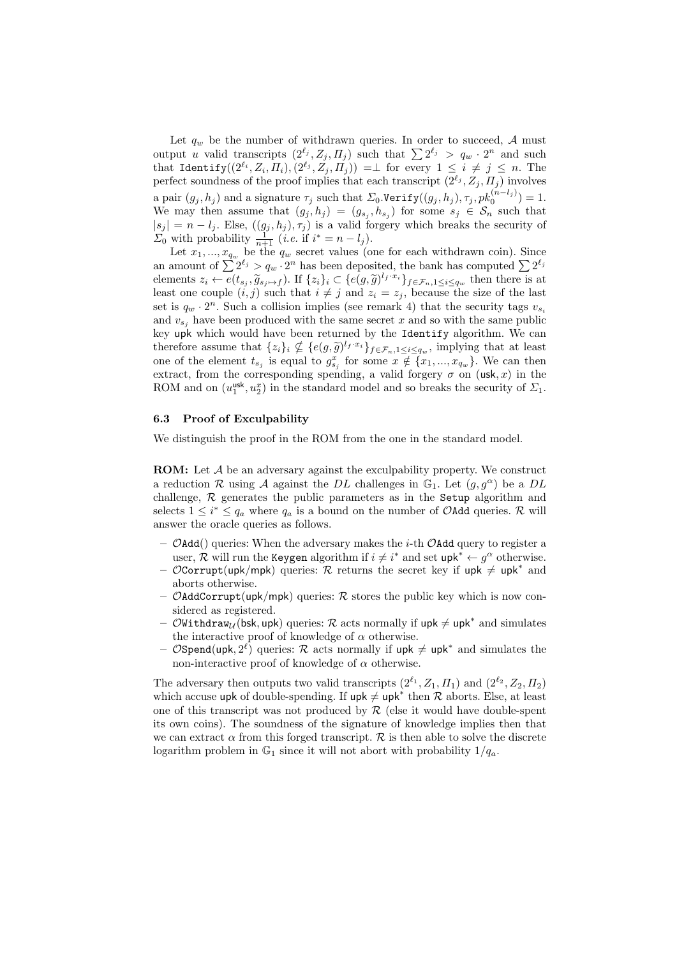Let  $q_w$  be the number of withdrawn queries. In order to succeed,  $A$  must output u valid transcripts  $(2^{\ell_j}, Z_j, \Pi_j)$  such that  $\sum 2^{\ell_j} > q_w \cdot 2^n$  and such that Identify $((2^{\ell_i}, Z_i, \Pi_i), (2^{\ell_j}, Z_j, \Pi_j)) = \perp$  for every  $1 \leq i \neq j \leq n$ . The perfect soundness of the proof implies that each transcript  $(2^{\ell_j}, Z_j, \Pi_j)$  involves a pair  $(g_j,h_j)$  and a signature  $\tau_j$  such that  $\Sigma_0.$ Verify $((g_j,h_j),\tau_j, pk_0^{(n-l_j)})=1.$ We may then assume that  $(g_j, h_j) = (g_{s_j}, h_{s_j})$  for some  $s_j \in S_n$  such that  $|s_j| = n - l_j$ . Else,  $((g_j, h_j), \tau_j)$  is a valid forgery which breaks the security of  $\overline{\Sigma_0}$  with probability  $\frac{1}{n+1}$  (*i.e.* if  $i^* = n - l_j$ ).

Let  $x_1, ..., x_{q_w}$  be the  $q_w$  secret values (one for each withdrawn coin). Since an amount of  $\sum 2^{\ell_j} > q_w \cdot 2^n$  has been deposited, the bank has computed  $\sum 2^{\ell_j}$ elements  $z_i \leftarrow e(t_{s_i}, \widetilde{g}_{s_j \mapsto f})$ . If  $\{z_i\}_i \subset \{e(g, \widetilde{g})^{l_f \cdot x_i}\}_{f \in \mathcal{F}_n, 1 \leq i \leq q_w}$  then there is at least one couple  $(i, i)$  such that  $i \neq i$  and  $z_i = z_i$ , because the size of the last least one couple  $(i, j)$  such that  $i \neq j$  and  $z_i = z_j$ , because the size of the last set is  $q_w \cdot 2^n$ . Such a collision implies (see remark 4) that the security tags  $v_{s_i}$ and  $v_{s_i}$  have been produced with the same secret x and so with the same public key upk which would have been returned by the Identify algorithm. We can therefore assume that  $\{z_i\}_i \nsubseteq \{e(g, \tilde{g})^{l_f \cdot x_i}\}_{f \in \mathcal{F}_n, 1 \leq i \leq q_w}$ , implying that at least one of the element  $t_{s_j}$  is equal to  $g_{s_j}^x$  for some  $x \notin \{x_1, ..., x_{q_w}\}$ . We can then extract, from the corresponding spending, a valid forgery  $\sigma$  on (usk, x) in the ROM and on  $(u_1^{\text{usk}}, u_2^x)$  in the standard model and so breaks the security of  $\Sigma_1$ .

#### 6.3 Proof of Exculpability

We distinguish the proof in the ROM from the one in the standard model.

**ROM:** Let  $A$  be an adversary against the exculpability property. We construct a reduction R using A against the DL challenges in  $\mathbb{G}_1$ . Let  $(g, g^{\alpha})$  be a DL challenge,  $R$  generates the public parameters as in the Setup algorithm and selects  $1 \leq i^* \leq q_a$  where  $q_a$  is a bound on the number of OAdd queries. R will answer the oracle queries as follows.

- $-$  OAdd() queries: When the adversary makes the *i*-th OAdd query to register a user,  $\mathcal{R}$  will run the Keygen algorithm if  $i \neq i^*$  and set upk<sup>\*</sup>  $\leftarrow g^{\alpha}$  otherwise.
- Ocorrupt(upk/mpk) queries:  $\mathcal{R}$  returns the secret key if upk  $\neq$  upk<sup>\*</sup> and aborts otherwise.
- $-$  OAddCorrupt(upk/mpk) queries:  $\mathcal R$  stores the public key which is now considered as registered.
- $-$  ⊘Withdraw $_{\mathcal{U}}($ bsk,upk $)$  queries:  $\mathcal R$  acts normally if upk≠ upk $^*$  and simulates the interactive proof of knowledge of  $\alpha$  otherwise.
- *O*Spend(upk,2<sup>ℓ</sup>) queries: R acts normally if upk ≠ upk<sup>\*</sup> and simulates the non-interactive proof of knowledge of  $\alpha$  otherwise.

The adversary then outputs two valid transcripts  $(2^{\ell_1}, Z_1, \Pi_1)$  and  $(2^{\ell_2}, Z_2, \Pi_2)$ which accuse upk of double-spending. If upk  $\neq$  upk<sup>\*</sup> then  $R$  aborts. Else, at least one of this transcript was not produced by  $\mathcal R$  (else it would have double-spent its own coins). The soundness of the signature of knowledge implies then that we can extract  $\alpha$  from this forged transcript.  $\mathcal R$  is then able to solve the discrete logarithm problem in  $\mathbb{G}_1$  since it will not abort with probability  $1/q_a$ .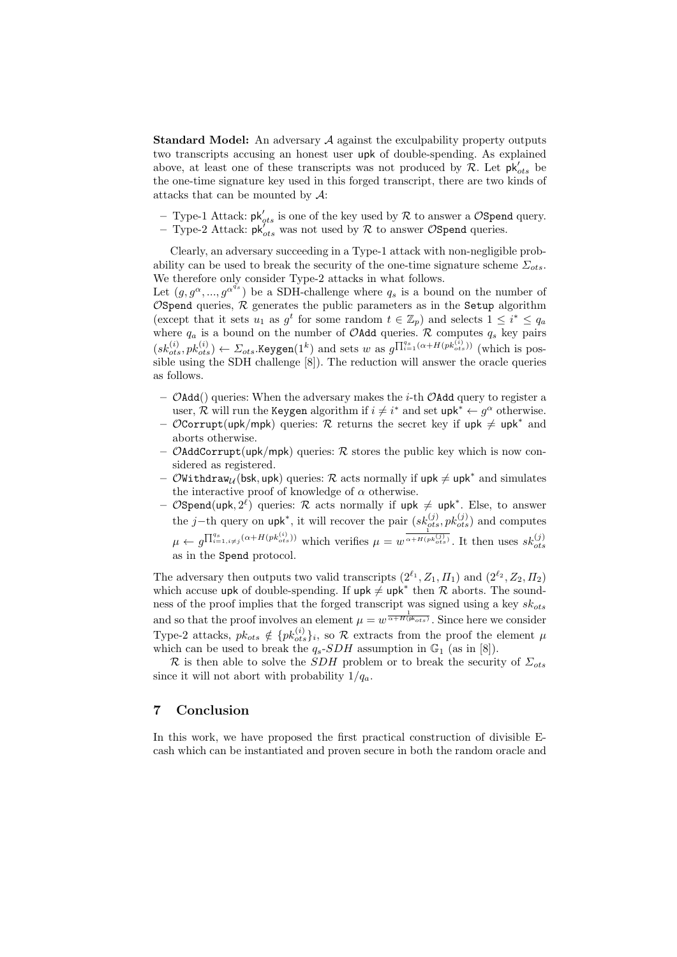**Standard Model:** An adversary  $A$  against the exculpability property outputs two transcripts accusing an honest user upk of double-spending. As explained above, at least one of these transcripts was not produced by  $\mathcal{R}$ . Let  $pk'_{ots}$  be the one-time signature key used in this forged transcript, there are two kinds of attacks that can be mounted by A:

- Type-1 Attack:  $\mathsf{pk}_{qts}^{\prime}$  is one of the key used by  $\mathcal R$  to answer a  $\mathcal O$ Spend query.
- Type-2 Attack:  $\mathsf{pk}_{ots}^{\mathsf{V}}$  was not used by  $R$  to answer  $\mathcal{O}\mathsf{Spend}$  queries.

Clearly, an adversary succeeding in a Type-1 attack with non-negligible probability can be used to break the security of the one-time signature scheme  $\Sigma_{obs}$ . We therefore only consider Type-2 attacks in what follows.

Let  $(g, g^{\alpha}, ..., g^{\alpha^{\tilde{q}_{s}}})$  be a SDH-challenge where  $q_{s}$  is a bound on the number of OSpend queries,  $R$  generates the public parameters as in the Setup algorithm (except that it sets  $u_1$  as  $g^t$  for some random  $t \in \mathbb{Z}_p$ ) and selects  $1 \leq i^* \leq q_a$ where  $q_a$  is a bound on the number of  $O$ Add queries. R computes  $q_s$  key pairs  $(s k_{ots}^{(i)}, p k_{ots}^{(i)}) \leftarrow \sum_{ots}$ Keygen $(1^k)$  and sets w as  $g\prod_{i=1}^{q_s} (\alpha + H(p k_{ots}^{(i)}))$  (which is possible using the SDH challenge [8]). The reduction will answer the oracle queries as follows.

- $-$  OAdd() queries: When the adversary makes the *i*-th OAdd query to register a user,  $\mathcal R$  will run the Keygen algorithm if  $i\neq i^*$  and set  $\mathsf{upk}^* \leftarrow g^\alpha$  otherwise.
- Ocorrupt(upk/mpk) queries: R returns the secret key if upk  $\neq$  upk<sup>∗</sup> and aborts otherwise.
- OAddCorrupt(upk/mpk) queries:  $\mathcal R$  stores the public key which is now considered as registered.
- $-$  ⊘Withdraw<sub>U</sub> (bsk, upk) queries:  $\cal{R}$  acts normally if upk  $\neq$  upk $^*$  and simulates the interactive proof of knowledge of  $\alpha$  otherwise.
- *O*Spend(upk,2<sup>ℓ</sup>) queries: R acts normally if upk ≠ upk<sup>\*</sup>. Else, to answer the j–th query on upk<sup>\*</sup>, it will recover the pair  $(s k_{ots}^{(j)}, p k_{ots}^{(j)})$  and computes  $\mu \leftarrow g^{\prod_{i=1,i\neq j}^{q_s}(\alpha + H(pk_{ots}^{(i)}))}$  which verifies  $\mu = w^{\frac{1}{\alpha + H(pk_{ots}^{(j)}})}$ . It then uses  $sk_{ots}^{(j)}$ as in the Spend protocol.

The adversary then outputs two valid transcripts  $(2^{\ell_1}, Z_1, \Pi_1)$  and  $(2^{\ell_2}, Z_2, \Pi_2)$ which accuse upk of double-spending. If upk  $\neq$  upk<sup>\*</sup> then  $R$  aborts. The soundness of the proof implies that the forged transcript was signed using a key  $sk_{ots}$ and so that the proof involves an element  $\mu = w^{\frac{1}{\alpha + H(\text{pk}_{ots})}}$ . Since here we consider Type-2 attacks,  $pk_{ots} \notin \{pk_{ots}^{(i)}\}_i$ , so R extracts from the proof the element  $\mu$ which can be used to break the  $q_s$ -SDH assumption in  $\mathbb{G}_1$  (as in [8]).

R is then able to solve the SDH problem or to break the security of  $\Sigma_{ots}$ since it will not abort with probability  $1/q_a$ .

# 7 Conclusion

In this work, we have proposed the first practical construction of divisible Ecash which can be instantiated and proven secure in both the random oracle and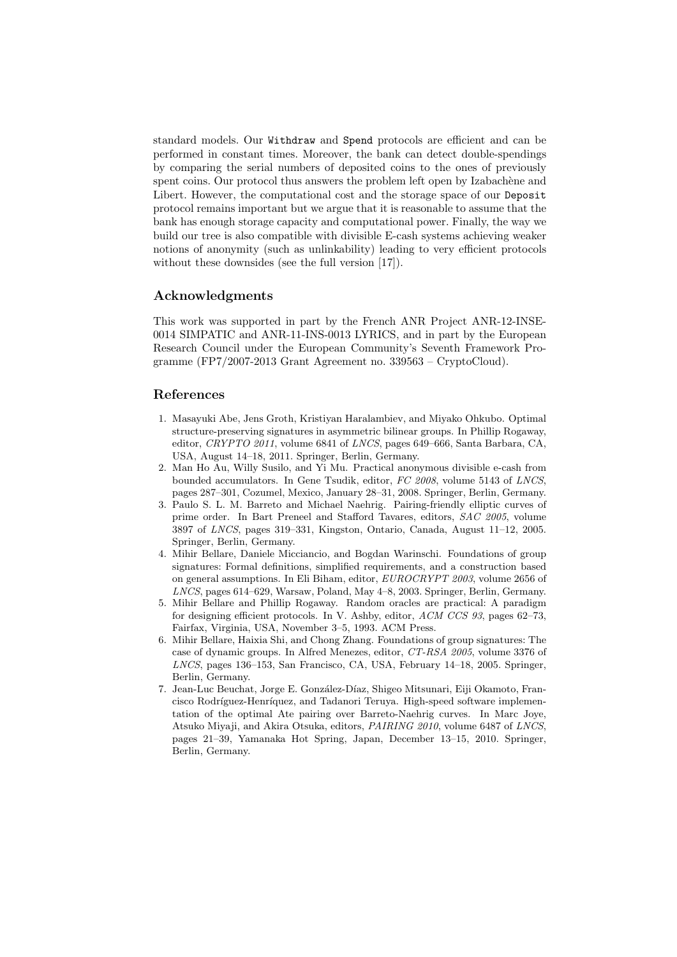standard models. Our Withdraw and Spend protocols are efficient and can be performed in constant times. Moreover, the bank can detect double-spendings by comparing the serial numbers of deposited coins to the ones of previously spent coins. Our protocol thus answers the problem left open by Izabachène and Libert. However, the computational cost and the storage space of our Deposit protocol remains important but we argue that it is reasonable to assume that the bank has enough storage capacity and computational power. Finally, the way we build our tree is also compatible with divisible E-cash systems achieving weaker notions of anonymity (such as unlinkability) leading to very efficient protocols without these downsides (see the full version [17]).

## Acknowledgments

This work was supported in part by the French ANR Project ANR-12-INSE-0014 SIMPATIC and ANR-11-INS-0013 LYRICS, and in part by the European Research Council under the European Community's Seventh Framework Programme (FP7/2007-2013 Grant Agreement no. 339563 – CryptoCloud).

## References

- 1. Masayuki Abe, Jens Groth, Kristiyan Haralambiev, and Miyako Ohkubo. Optimal structure-preserving signatures in asymmetric bilinear groups. In Phillip Rogaway, editor, CRYPTO 2011, volume 6841 of LNCS, pages 649–666, Santa Barbara, CA, USA, August 14–18, 2011. Springer, Berlin, Germany.
- 2. Man Ho Au, Willy Susilo, and Yi Mu. Practical anonymous divisible e-cash from bounded accumulators. In Gene Tsudik, editor, FC 2008, volume 5143 of LNCS, pages 287–301, Cozumel, Mexico, January 28–31, 2008. Springer, Berlin, Germany.
- 3. Paulo S. L. M. Barreto and Michael Naehrig. Pairing-friendly elliptic curves of prime order. In Bart Preneel and Stafford Tavares, editors, SAC 2005, volume 3897 of LNCS, pages 319–331, Kingston, Ontario, Canada, August 11–12, 2005. Springer, Berlin, Germany.
- 4. Mihir Bellare, Daniele Micciancio, and Bogdan Warinschi. Foundations of group signatures: Formal definitions, simplified requirements, and a construction based on general assumptions. In Eli Biham, editor, EUROCRYPT 2003, volume 2656 of LNCS, pages 614–629, Warsaw, Poland, May 4–8, 2003. Springer, Berlin, Germany.
- 5. Mihir Bellare and Phillip Rogaway. Random oracles are practical: A paradigm for designing efficient protocols. In V. Ashby, editor, ACM CCS 93, pages 62–73, Fairfax, Virginia, USA, November 3–5, 1993. ACM Press.
- 6. Mihir Bellare, Haixia Shi, and Chong Zhang. Foundations of group signatures: The case of dynamic groups. In Alfred Menezes, editor, CT-RSA 2005, volume 3376 of LNCS, pages 136–153, San Francisco, CA, USA, February 14–18, 2005. Springer, Berlin, Germany.
- 7. Jean-Luc Beuchat, Jorge E. González-Díaz, Shigeo Mitsunari, Eiji Okamoto, Francisco Rodríguez-Henríquez, and Tadanori Teruya. High-speed software implementation of the optimal Ate pairing over Barreto-Naehrig curves. In Marc Joye, Atsuko Miyaji, and Akira Otsuka, editors, PAIRING 2010, volume 6487 of LNCS, pages 21–39, Yamanaka Hot Spring, Japan, December 13–15, 2010. Springer, Berlin, Germany.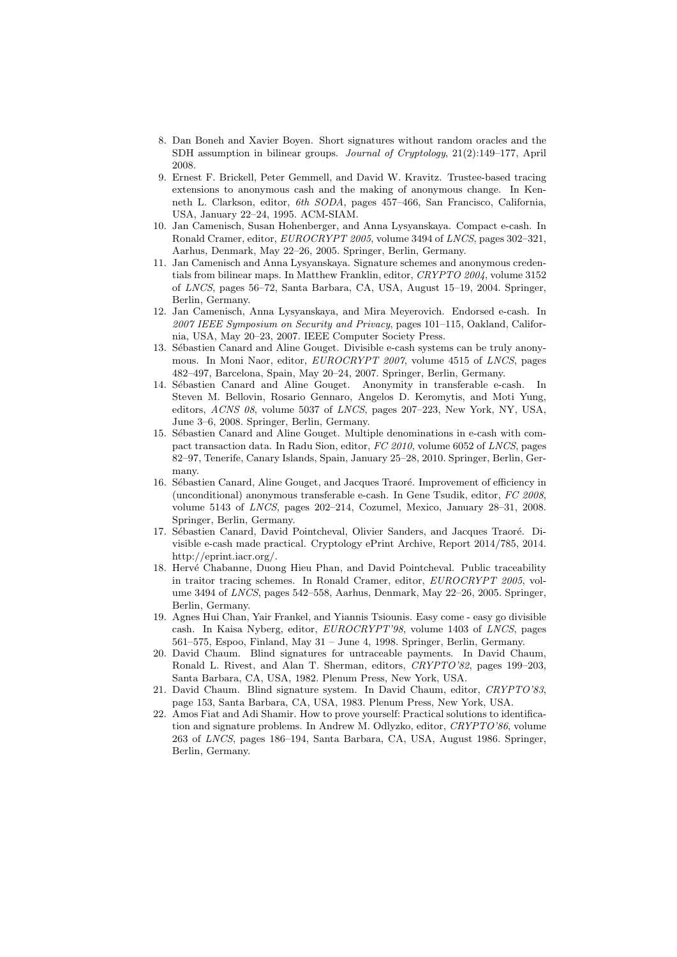- 8. Dan Boneh and Xavier Boyen. Short signatures without random oracles and the SDH assumption in bilinear groups. Journal of Cryptology, 21(2):149–177, April 2008.
- 9. Ernest F. Brickell, Peter Gemmell, and David W. Kravitz. Trustee-based tracing extensions to anonymous cash and the making of anonymous change. In Kenneth L. Clarkson, editor, 6th SODA, pages 457–466, San Francisco, California, USA, January 22–24, 1995. ACM-SIAM.
- 10. Jan Camenisch, Susan Hohenberger, and Anna Lysyanskaya. Compact e-cash. In Ronald Cramer, editor, EUROCRYPT 2005, volume 3494 of LNCS, pages 302–321, Aarhus, Denmark, May 22–26, 2005. Springer, Berlin, Germany.
- 11. Jan Camenisch and Anna Lysyanskaya. Signature schemes and anonymous credentials from bilinear maps. In Matthew Franklin, editor, CRYPTO 2004, volume 3152 of LNCS, pages 56–72, Santa Barbara, CA, USA, August 15–19, 2004. Springer, Berlin, Germany.
- 12. Jan Camenisch, Anna Lysyanskaya, and Mira Meyerovich. Endorsed e-cash. In 2007 IEEE Symposium on Security and Privacy, pages 101–115, Oakland, California, USA, May 20–23, 2007. IEEE Computer Society Press.
- 13. Sébastien Canard and Aline Gouget. Divisible e-cash systems can be truly anonymous. In Moni Naor, editor, EUROCRYPT 2007, volume 4515 of LNCS, pages 482–497, Barcelona, Spain, May 20–24, 2007. Springer, Berlin, Germany.
- 14. Sébastien Canard and Aline Gouget. Anonymity in transferable e-cash. In Steven M. Bellovin, Rosario Gennaro, Angelos D. Keromytis, and Moti Yung, editors, ACNS 08, volume 5037 of LNCS, pages 207–223, New York, NY, USA, June 3–6, 2008. Springer, Berlin, Germany.
- 15. Sébastien Canard and Aline Gouget. Multiple denominations in e-cash with compact transaction data. In Radu Sion, editor, FC 2010, volume 6052 of LNCS, pages 82–97, Tenerife, Canary Islands, Spain, January 25–28, 2010. Springer, Berlin, Germany.
- 16. Sébastien Canard, Aline Gouget, and Jacques Traoré. Improvement of efficiency in (unconditional) anonymous transferable e-cash. In Gene Tsudik, editor, FC 2008, volume 5143 of LNCS, pages 202–214, Cozumel, Mexico, January 28–31, 2008. Springer, Berlin, Germany.
- 17. Sébastien Canard, David Pointcheval, Olivier Sanders, and Jacques Traoré. Divisible e-cash made practical. Cryptology ePrint Archive, Report 2014/785, 2014. http://eprint.iacr.org/.
- 18. Herv´e Chabanne, Duong Hieu Phan, and David Pointcheval. Public traceability in traitor tracing schemes. In Ronald Cramer, editor, EUROCRYPT 2005, volume 3494 of LNCS, pages 542–558, Aarhus, Denmark, May 22–26, 2005. Springer, Berlin, Germany.
- 19. Agnes Hui Chan, Yair Frankel, and Yiannis Tsiounis. Easy come easy go divisible cash. In Kaisa Nyberg, editor, EUROCRYPT'98, volume 1403 of LNCS, pages 561–575, Espoo, Finland, May 31 – June 4, 1998. Springer, Berlin, Germany.
- 20. David Chaum. Blind signatures for untraceable payments. In David Chaum, Ronald L. Rivest, and Alan T. Sherman, editors, CRYPTO'82, pages 199–203, Santa Barbara, CA, USA, 1982. Plenum Press, New York, USA.
- 21. David Chaum. Blind signature system. In David Chaum, editor, CRYPTO'83, page 153, Santa Barbara, CA, USA, 1983. Plenum Press, New York, USA.
- 22. Amos Fiat and Adi Shamir. How to prove yourself: Practical solutions to identification and signature problems. In Andrew M. Odlyzko, editor, CRYPTO'86, volume 263 of LNCS, pages 186–194, Santa Barbara, CA, USA, August 1986. Springer, Berlin, Germany.